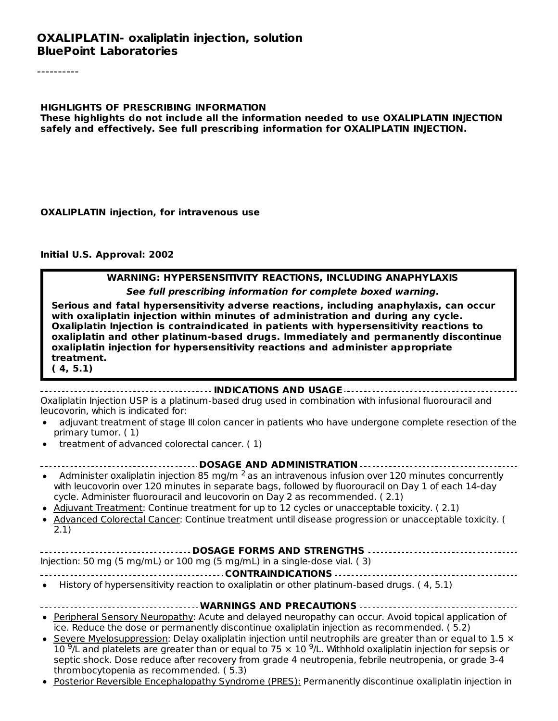#### **OXALIPLATIN- oxaliplatin injection, solution BluePoint Laboratories**

**HIGHLIGHTS OF PRESCRIBING INFORMATION These highlights do not include all the information needed to use OXALIPLATIN INJECTION safely and effectively. See full prescribing information for OXALIPLATIN INJECTION.**

**OXALIPLATIN injection, for intravenous use**

**Initial U.S. Approval: 2002**

#### **WARNING: HYPERSENSITIVITY REACTIONS, INCLUDING ANAPHYLAXIS**

**See full prescribing information for complete boxed warning.**

**Serious and fatal hypersensitivity adverse reactions, including anaphylaxis, can occur with oxaliplatin injection within minutes of administration and during any cycle. Oxaliplatin Injection is contraindicated in patients with hypersensitivity reactions to oxaliplatin and other platinum-based drugs. Immediately and permanently discontinue oxaliplatin injection for hypersensitivity reactions and administer appropriate treatment.**

**( 4, 5.1)**

#### **INDICATIONS AND USAGE**

Oxaliplatin Injection USP is a platinum-based drug used in combination with infusional fluorouracil and leucovorin, which is indicated for:

- adjuvant treatment of stage III colon cancer in patients who have undergone complete resection of the primary tumor. ( 1)
- treatment of advanced colorectal cancer. ( 1)

| Administer oxaliplatin injection 85 mg/m $^2$ as an intravenous infusion over 120 minutes concurrently |
|--------------------------------------------------------------------------------------------------------|

- with leucovorin over 120 minutes in separate bags, followed by fluorouracil on Day 1 of each 14-day cycle. Administer fluorouracil and leucovorin on Day 2 as recommended. ( 2.1)
- Adjuvant Treatment: Continue treatment for up to 12 cycles or unacceptable toxicity. ( 2.1)
- Advanced Colorectal Cancer: Continue treatment until disease progression or unacceptable toxicity. ( 2.1)

Injection: 50 mg (5 mg/mL) or 100 mg (5 mg/mL) in a single-dose vial. ( 3)

**CONTRAINDICATIONS**

- History of hypersensitivity reaction to oxaliplatin or other platinum-based drugs. ( 4, 5.1)
	- **WARNINGS AND PRECAUTIONS**
- Peripheral Sensory Neuropathy: Acute and delayed neuropathy can occur. Avoid topical application of ice. Reduce the dose or permanently discontinue oxaliplatin injection as recommended. ( 5.2)
- Severe Myelosuppression: Delay oxaliplatin injection until neutrophils are greater than or equal to 1.5  $\times$ 10  $^{9}$ /L and platelets are greater than or equal to 75  $\times$  10  $^{9}$ /L. Withhold oxaliplatin injection for sepsis or septic shock. Dose reduce after recovery from grade 4 neutropenia, febrile neutropenia, or grade 3-4 thrombocytopenia as recommended. ( 5.3)
- Posterior Reversible Encephalopathy Syndrome (PRES): Permanently discontinue oxaliplatin injection in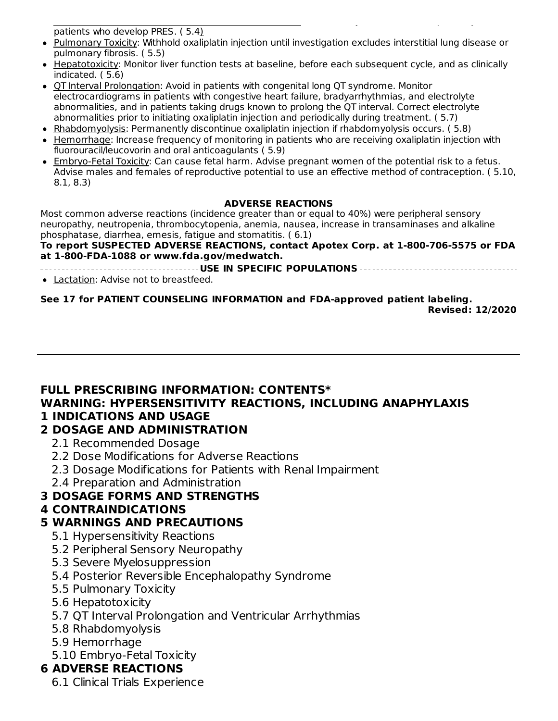Posterior Reversible Encephalopathy Syndrome (PRES): Permanently discontinue oxaliplatin injection in patients who develop PRES. ( 5.4)

- Pulmonary Toxicity: Withhold oxaliplatin injection until investigation excludes interstitial lung disease or pulmonary fibrosis. ( 5.5)
- Hepatotoxicity: Monitor liver function tests at baseline, before each subsequent cycle, and as clinically indicated. ( 5.6)
- OT Interval Prolongation: Avoid in patients with congenital long OT syndrome. Monitor electrocardiograms in patients with congestive heart failure, bradyarrhythmias, and electrolyte abnormalities, and in patients taking drugs known to prolong the QT interval. Correct electrolyte abnormalities prior to initiating oxaliplatin injection and periodically during treatment. ( 5.7)
- Rhabdomyolysis: Permanently discontinue oxaliplatin injection if rhabdomyolysis occurs. (5.8)
- Hemorrhage: Increase frequency of monitoring in patients who are receiving oxaliplatin injection with fluorouracil/leucovorin and oral anticoagulants ( 5.9)
- Embryo-Fetal Toxicity: Can cause fetal harm. Advise pregnant women of the potential risk to a fetus. Advise males and females of reproductive potential to use an effective method of contraception. ( 5.10, 8.1, 8.3)

**ADVERSE REACTIONS** Most common adverse reactions (incidence greater than or equal to 40%) were peripheral sensory neuropathy, neutropenia, thrombocytopenia, anemia, nausea, increase in transaminases and alkaline phosphatase, diarrhea, emesis, fatigue and stomatitis. ( 6.1)

#### **To report SUSPECTED ADVERSE REACTIONS, contact Apotex Corp. at 1-800-706-5575 or FDA at 1-800-FDA-1088 or www.fda.gov/medwatch.**

**USE IN SPECIFIC POPULATIONS**

Lactation: Advise not to breastfeed.

**See 17 for PATIENT COUNSELING INFORMATION and FDA-approved patient labeling.**

**Revised: 12/2020**

### **FULL PRESCRIBING INFORMATION: CONTENTS\* WARNING: HYPERSENSITIVITY REACTIONS, INCLUDING ANAPHYLAXIS 1 INDICATIONS AND USAGE**

### **2 DOSAGE AND ADMINISTRATION**

- 2.1 Recommended Dosage
- 2.2 Dose Modifications for Adverse Reactions
- 2.3 Dosage Modifications for Patients with Renal Impairment
- 2.4 Preparation and Administration

### **3 DOSAGE FORMS AND STRENGTHS**

### **4 CONTRAINDICATIONS**

### **5 WARNINGS AND PRECAUTIONS**

- 5.1 Hypersensitivity Reactions
- 5.2 Peripheral Sensory Neuropathy
- 5.3 Severe Myelosuppression
- 5.4 Posterior Reversible Encephalopathy Syndrome
- 5.5 Pulmonary Toxicity
- 5.6 Hepatotoxicity
- 5.7 QT Interval Prolongation and Ventricular Arrhythmias
- 5.8 Rhabdomyolysis
- 5.9 Hemorrhage
- 5.10 Embryo-Fetal Toxicity

### **6 ADVERSE REACTIONS**

6.1 Clinical Trials Experience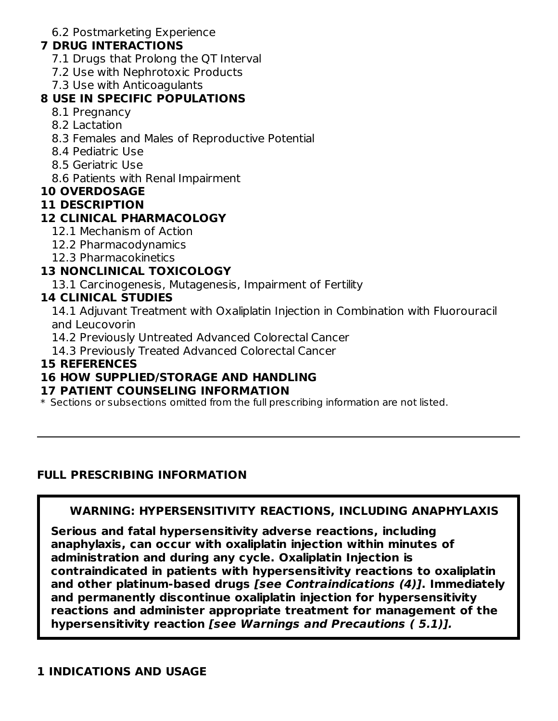6.2 Postmarketing Experience

### **7 DRUG INTERACTIONS**

- 7.1 Drugs that Prolong the QT Interval
- 7.2 Use with Nephrotoxic Products
- 7.3 Use with Anticoagulants

## **8 USE IN SPECIFIC POPULATIONS**

- 8.1 Pregnancy
- 8.2 Lactation
- 8.3 Females and Males of Reproductive Potential
- 8.4 Pediatric Use
- 8.5 Geriatric Use
- 8.6 Patients with Renal Impairment

### **10 OVERDOSAGE**

#### **11 DESCRIPTION**

## **12 CLINICAL PHARMACOLOGY**

- 12.1 Mechanism of Action
- 12.2 Pharmacodynamics
- 12.3 Pharmacokinetics

## **13 NONCLINICAL TOXICOLOGY**

13.1 Carcinogenesis, Mutagenesis, Impairment of Fertility

### **14 CLINICAL STUDIES**

14.1 Adjuvant Treatment with Oxaliplatin Injection in Combination with Fluorouracil and Leucovorin

14.2 Previously Untreated Advanced Colorectal Cancer

14.3 Previously Treated Advanced Colorectal Cancer

### **15 REFERENCES**

### **16 HOW SUPPLIED/STORAGE AND HANDLING**

### **17 PATIENT COUNSELING INFORMATION**

\* Sections or subsections omitted from the full prescribing information are not listed.

### **FULL PRESCRIBING INFORMATION**

### **WARNING: HYPERSENSITIVITY REACTIONS, INCLUDING ANAPHYLAXIS**

**Serious and fatal hypersensitivity adverse reactions, including anaphylaxis, can occur with oxaliplatin injection within minutes of administration and during any cycle. Oxaliplatin Injection is contraindicated in patients with hypersensitivity reactions to oxaliplatin and other platinum-based drugs [see Contraindications (4)]. Immediately and permanently discontinue oxaliplatin injection for hypersensitivity reactions and administer appropriate treatment for management of the hypersensitivity reaction [see Warnings and Precautions ( 5.1)].**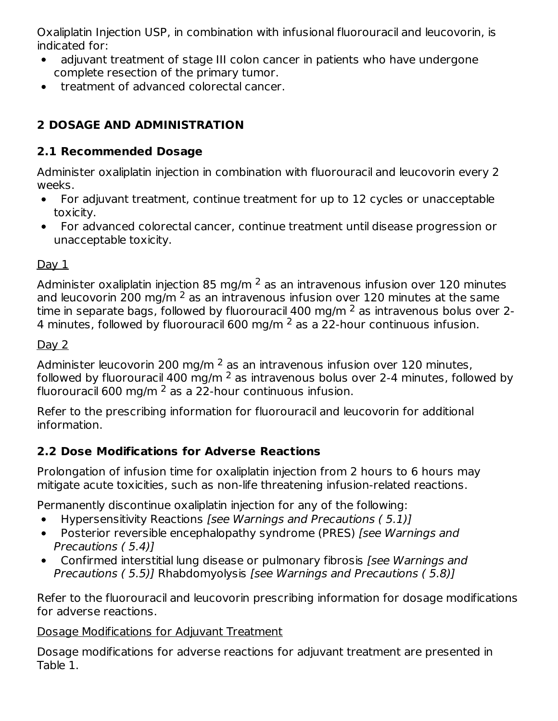Oxaliplatin Injection USP, in combination with infusional fluorouracil and leucovorin, is indicated for:

- adjuvant treatment of stage III colon cancer in patients who have undergone complete resection of the primary tumor.
- treatment of advanced colorectal cancer.  $\bullet$

# **2 DOSAGE AND ADMINISTRATION**

## **2.1 Recommended Dosage**

Administer oxaliplatin injection in combination with fluorouracil and leucovorin every 2 weeks.

- For adjuvant treatment, continue treatment for up to 12 cycles or unacceptable  $\bullet$ toxicity.
- For advanced colorectal cancer, continue treatment until disease progression or  $\bullet$ unacceptable toxicity.

## $Day 1$

Administer oxaliplatin injection 85 mg/m  $^2$  as an intravenous infusion over 120 minutes and leucovorin 200 mg/m  $^2$  as an intravenous infusion over 120 minutes at the same time in separate bags, followed by fluorouracil 400 mg/m  $^2$  as intravenous bolus over 2-4 minutes, followed by fluorouracil 600 mg/m  $^2$  as a 22-hour continuous infusion.

## Day 2

Administer leucovorin 200 mg/m  $^2$  as an intravenous infusion over 120 minutes, followed by fluorouracil 400 mg/m  $^2$  as intravenous bolus over 2-4 minutes, followed by fluorouracil 600 mg/m  $^2$  as a 22-hour continuous infusion.

Refer to the prescribing information for fluorouracil and leucovorin for additional information.

## **2.2 Dose Modifications for Adverse Reactions**

Prolongation of infusion time for oxaliplatin injection from 2 hours to 6 hours may mitigate acute toxicities, such as non-life threatening infusion-related reactions.

Permanently discontinue oxaliplatin injection for any of the following:

- Hypersensitivity Reactions [see Warnings and Precautions ( 5.1)]
- Posterior reversible encephalopathy syndrome (PRES) [see Warnings and  $\bullet$ Precautions ( 5.4)]
- Confirmed interstitial lung disease or pulmonary fibrosis [see Warnings and Precautions ( 5.5)] Rhabdomyolysis [see Warnings and Precautions ( 5.8)]

Refer to the fluorouracil and leucovorin prescribing information for dosage modifications for adverse reactions.

## Dosage Modifications for Adjuvant Treatment

Dosage modifications for adverse reactions for adjuvant treatment are presented in Table 1.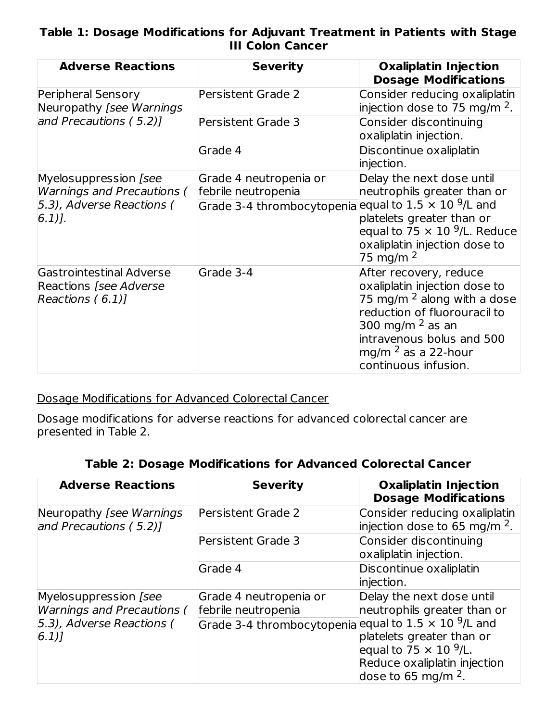### **Table 1: Dosage Modifications for Adjuvant Treatment in Patients with Stage III Colon Cancer**

| <b>Adverse Reactions</b>                                                       | <b>Severity</b>                                                 | <b>Oxaliplatin Injection</b><br><b>Dosage Modifications</b>                                                                                                                                                                           |
|--------------------------------------------------------------------------------|-----------------------------------------------------------------|---------------------------------------------------------------------------------------------------------------------------------------------------------------------------------------------------------------------------------------|
| Peripheral Sensory<br>Neuropathy [see Warnings                                 | <b>Persistent Grade 2</b>                                       | Consider reducing oxaliplatin<br>injection dose to 75 mg/m $^2$ .                                                                                                                                                                     |
| and Precautions (5.2)]                                                         | Persistent Grade 3                                              | Consider discontinuing<br>oxaliplatin injection.                                                                                                                                                                                      |
|                                                                                | Grade 4                                                         | Discontinue oxaliplatin<br>injection.                                                                                                                                                                                                 |
| Myelosuppression [see<br><b>Warnings and Precautions (</b>                     | Grade 4 neutropenia or<br>febrile neutropenia                   | Delay the next dose until<br>neutrophils greater than or                                                                                                                                                                              |
| 5.3), Adverse Reactions (<br>$[6.1)$ ].                                        | Grade 3-4 thrombocytopenia equal to $1.5 \times 10^{-9}$ /L and | platelets greater than or<br>equal to $75 \times 10^{9}$ /L. Reduce<br>oxaliplatin injection dose to<br>75 mg/m <sup>2</sup>                                                                                                          |
| Gastrointestinal Adverse<br><b>Reactions [see Adverse</b><br>Reactions $(6.1)$ | Grade 3-4                                                       | After recovery, reduce<br>oxaliplatin injection dose to<br>75 mg/m <sup>2</sup> along with a dose<br>reduction of fluorouracil to<br>300 mg/m $2$ as an<br>intravenous bolus and 500<br>mg/m $2$ as a 22-hour<br>continuous infusion. |

Dosage Modifications for Advanced Colorectal Cancer

Dosage modifications for adverse reactions for advanced colorectal cancer are presented in Table 2.

| <b>Table 2: Dosage Modifications for Advanced Colorectal Cancer</b> |  |  |
|---------------------------------------------------------------------|--|--|
|---------------------------------------------------------------------|--|--|

| <b>Adverse Reactions</b>                                                                          | <b>Severity</b>                                                                                                  | <b>Oxaliplatin Injection</b><br><b>Dosage Modifications</b>                                                                                                                                 |
|---------------------------------------------------------------------------------------------------|------------------------------------------------------------------------------------------------------------------|---------------------------------------------------------------------------------------------------------------------------------------------------------------------------------------------|
| Neuropathy [see Warnings]<br>and Precautions (5.2)]                                               | Persistent Grade 2                                                                                               | Consider reducing oxaliplatin<br>injection dose to 65 mg/m $^2$ .                                                                                                                           |
|                                                                                                   | <b>Persistent Grade 3</b>                                                                                        | Consider discontinuing<br>oxaliplatin injection.                                                                                                                                            |
|                                                                                                   | Grade 4                                                                                                          | Discontinue oxaliplatin<br>injection.                                                                                                                                                       |
| Myelosuppression [see<br><b>Warnings and Precautions (</b><br>[5.3], Adverse Reactions (<br> 6.1) | Grade 4 neutropenia or<br>febrile neutropenia<br>Grade 3-4 thrombocytopenia equal to $1.5 \times 10^{-9}$ /L and | Delay the next dose until<br>neutrophils greater than or<br>platelets greater than or<br>equal to 75 $\times$ 10 <sup>9</sup> /L.<br>Reduce oxaliplatin injection<br>dose to 65 mg/m $^2$ . |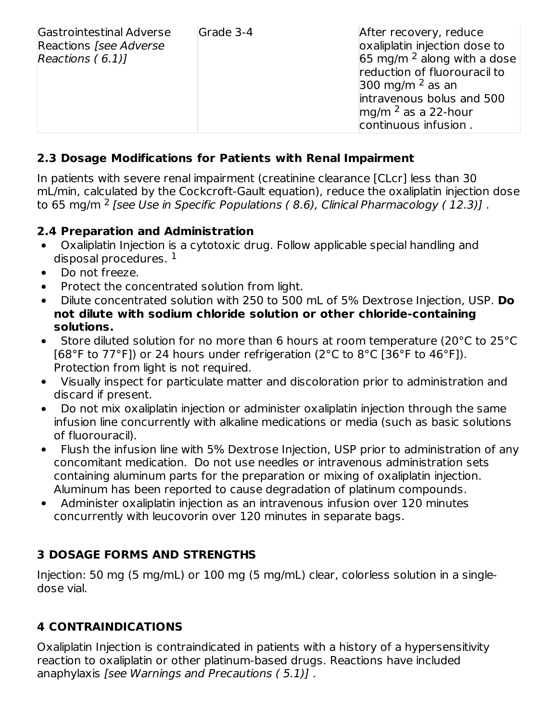| Grade 3-4<br>Gastrointestinal Adverse<br>Reactions [see Adverse]<br>Reactions $(6.1)$ ] | After recovery, reduce<br>oxaliplatin injection dose to<br>65 mg/m $^2$ along with a dose<br>reduction of fluorouracil to<br>300 mg/m $^2$ as an<br>intravenous bolus and 500<br>$mg/m2$ as a 22-hour<br>continuous infusion. |
|-----------------------------------------------------------------------------------------|-------------------------------------------------------------------------------------------------------------------------------------------------------------------------------------------------------------------------------|
|-----------------------------------------------------------------------------------------|-------------------------------------------------------------------------------------------------------------------------------------------------------------------------------------------------------------------------------|

## **2.3 Dosage Modifications for Patients with Renal Impairment**

In patients with severe renal impairment (creatinine clearance [CLcr] less than 30 mL/min, calculated by the Cockcroft-Gault equation), reduce the oxaliplatin injection dose to 65 mg/m <sup>2</sup> [see Use in Specific Populations ( 8.6), Clinical Pharmacology ( 12.3)] .

### **2.4 Preparation and Administration**

- $\bullet$ Oxaliplatin Injection is a cytotoxic drug. Follow applicable special handling and disposal procedures.  $^{\rm 1}$
- Do not freeze.
- Protect the concentrated solution from light.
- Dilute concentrated solution with 250 to 500 mL of 5% Dextrose Injection, USP. **Do not dilute with sodium chloride solution or other chloride-containing solutions.**
- Store diluted solution for no more than 6 hours at room temperature (20°C to 25°C  $\bullet$ [68°F to 77°F]) or 24 hours under refrigeration (2°C to 8°C [36°F to 46°F]). Protection from light is not required.
- Visually inspect for particulate matter and discoloration prior to administration and discard if present.
- Do not mix oxaliplatin injection or administer oxaliplatin injection through the same  $\bullet$ infusion line concurrently with alkaline medications or media (such as basic solutions of fluorouracil).
- Flush the infusion line with 5% Dextrose Injection, USP prior to administration of any concomitant medication. Do not use needles or intravenous administration sets containing aluminum parts for the preparation or mixing of oxaliplatin injection. Aluminum has been reported to cause degradation of platinum compounds.
- Administer oxaliplatin injection as an intravenous infusion over 120 minutes concurrently with leucovorin over 120 minutes in separate bags.

### **3 DOSAGE FORMS AND STRENGTHS**

Injection: 50 mg (5 mg/mL) or 100 mg (5 mg/mL) clear, colorless solution in a singledose vial.

## **4 CONTRAINDICATIONS**

Oxaliplatin Injection is contraindicated in patients with a history of a hypersensitivity reaction to oxaliplatin or other platinum-based drugs. Reactions have included anaphylaxis [see Warnings and Precautions ( 5.1)] .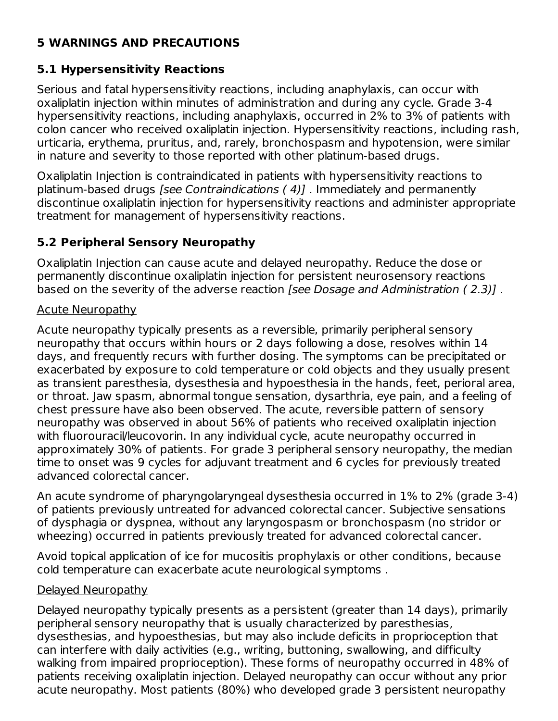## **5 WARNINGS AND PRECAUTIONS**

## **5.1 Hypersensitivity Reactions**

Serious and fatal hypersensitivity reactions, including anaphylaxis, can occur with oxaliplatin injection within minutes of administration and during any cycle. Grade 3-4 hypersensitivity reactions, including anaphylaxis, occurred in 2% to 3% of patients with colon cancer who received oxaliplatin injection. Hypersensitivity reactions, including rash, urticaria, erythema, pruritus, and, rarely, bronchospasm and hypotension, were similar in nature and severity to those reported with other platinum-based drugs.

Oxaliplatin Injection is contraindicated in patients with hypersensitivity reactions to platinum-based drugs [see Contraindications ( 4)] . Immediately and permanently discontinue oxaliplatin injection for hypersensitivity reactions and administer appropriate treatment for management of hypersensitivity reactions.

## **5.2 Peripheral Sensory Neuropathy**

Oxaliplatin Injection can cause acute and delayed neuropathy. Reduce the dose or permanently discontinue oxaliplatin injection for persistent neurosensory reactions based on the severity of the adverse reaction [see Dosage and Administration ( 2.3)] .

### Acute Neuropathy

Acute neuropathy typically presents as a reversible, primarily peripheral sensory neuropathy that occurs within hours or 2 days following a dose, resolves within 14 days, and frequently recurs with further dosing. The symptoms can be precipitated or exacerbated by exposure to cold temperature or cold objects and they usually present as transient paresthesia, dysesthesia and hypoesthesia in the hands, feet, perioral area, or throat. Jaw spasm, abnormal tongue sensation, dysarthria, eye pain, and a feeling of chest pressure have also been observed. The acute, reversible pattern of sensory neuropathy was observed in about 56% of patients who received oxaliplatin injection with fluorouracil/leucovorin. In any individual cycle, acute neuropathy occurred in approximately 30% of patients. For grade 3 peripheral sensory neuropathy, the median time to onset was 9 cycles for adjuvant treatment and 6 cycles for previously treated advanced colorectal cancer.

An acute syndrome of pharyngolaryngeal dysesthesia occurred in 1% to 2% (grade 3-4) of patients previously untreated for advanced colorectal cancer. Subjective sensations of dysphagia or dyspnea, without any laryngospasm or bronchospasm (no stridor or wheezing) occurred in patients previously treated for advanced colorectal cancer.

Avoid topical application of ice for mucositis prophylaxis or other conditions, because cold temperature can exacerbate acute neurological symptoms .

### Delayed Neuropathy

Delayed neuropathy typically presents as a persistent (greater than 14 days), primarily peripheral sensory neuropathy that is usually characterized by paresthesias, dysesthesias, and hypoesthesias, but may also include deficits in proprioception that can interfere with daily activities (e.g., writing, buttoning, swallowing, and difficulty walking from impaired proprioception). These forms of neuropathy occurred in 48% of patients receiving oxaliplatin injection. Delayed neuropathy can occur without any prior acute neuropathy. Most patients (80%) who developed grade 3 persistent neuropathy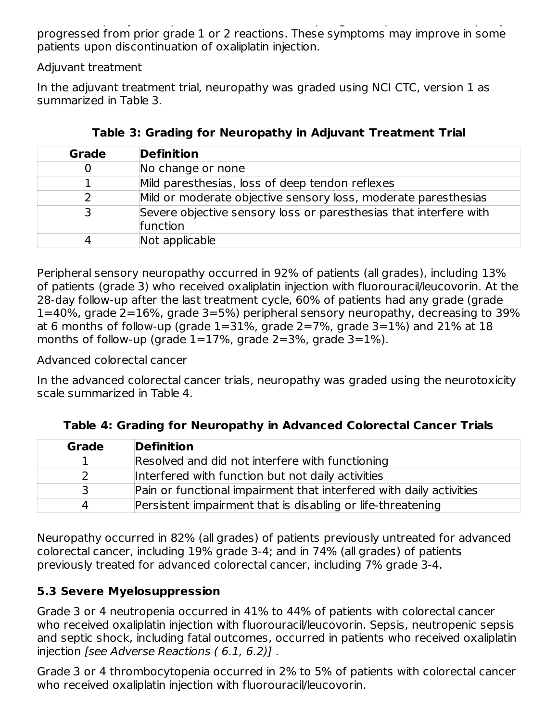acute neuropathy. Most patients (80%) who developed grade 3 persistent neuropathy progressed from prior grade 1 or 2 reactions. These symptoms may improve in some patients upon discontinuation of oxaliplatin injection.

Adjuvant treatment

In the adjuvant treatment trial, neuropathy was graded using NCI CTC, version 1 as summarized in Table 3.

| Grade | <b>Definition</b>                                                             |
|-------|-------------------------------------------------------------------------------|
|       | No change or none                                                             |
|       | Mild paresthesias, loss of deep tendon reflexes                               |
|       | Mild or moderate objective sensory loss, moderate paresthesias                |
|       | Severe objective sensory loss or paresthesias that interfere with<br>function |
|       | Not applicable                                                                |

Peripheral sensory neuropathy occurred in 92% of patients (all grades), including 13% of patients (grade 3) who received oxaliplatin injection with fluorouracil/leucovorin. At the 28-day follow-up after the last treatment cycle, 60% of patients had any grade (grade 1=40%, grade 2=16%, grade 3=5%) peripheral sensory neuropathy, decreasing to 39% at 6 months of follow-up (grade  $1=31\%$ , grade  $2=7\%$ , grade  $3=1\%$ ) and 21% at 18 months of follow-up (grade  $1=17\%$ , grade  $2=3\%$ , grade  $3=1\%$ ).

Advanced colorectal cancer

In the advanced colorectal cancer trials, neuropathy was graded using the neurotoxicity scale summarized in Table 4.

| Grade | <b>Definition</b>                                                   |
|-------|---------------------------------------------------------------------|
|       | Resolved and did not interfere with functioning                     |
|       | Interfered with function but not daily activities                   |
|       | Pain or functional impairment that interfered with daily activities |
|       | Persistent impairment that is disabling or life-threatening         |

**Table 4: Grading for Neuropathy in Advanced Colorectal Cancer Trials**

Neuropathy occurred in 82% (all grades) of patients previously untreated for advanced colorectal cancer, including 19% grade 3-4; and in 74% (all grades) of patients previously treated for advanced colorectal cancer, including 7% grade 3-4.

## **5.3 Severe Myelosuppression**

Grade 3 or 4 neutropenia occurred in 41% to 44% of patients with colorectal cancer who received oxaliplatin injection with fluorouracil/leucovorin. Sepsis, neutropenic sepsis and septic shock, including fatal outcomes, occurred in patients who received oxaliplatin injection [see Adverse Reactions ( 6.1, 6.2)] .

Grade 3 or 4 thrombocytopenia occurred in 2% to 5% of patients with colorectal cancer who received oxaliplatin injection with fluorouracil/leucovorin.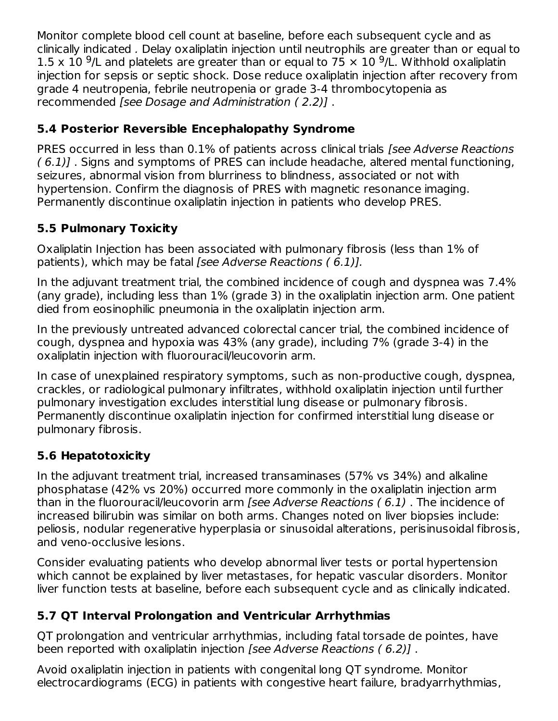Monitor complete blood cell count at baseline, before each subsequent cycle and as clinically indicated . Delay oxaliplatin injection until neutrophils are greater than or equal to 1.5 x 10 <sup>9</sup>/L and platelets are greater than or equal to 75  $\times$  10 <sup>9</sup>/L. Withhold oxaliplatin injection for sepsis or septic shock. Dose reduce oxaliplatin injection after recovery from grade 4 neutropenia, febrile neutropenia or grade 3-4 thrombocytopenia as recommended [see Dosage and Administration ( 2.2)] .

## **5.4 Posterior Reversible Encephalopathy Syndrome**

PRES occurred in less than 0.1% of patients across clinical trials (see Adverse Reactions ( 6.1)] . Signs and symptoms of PRES can include headache, altered mental functioning, seizures, abnormal vision from blurriness to blindness, associated or not with hypertension. Confirm the diagnosis of PRES with magnetic resonance imaging. Permanently discontinue oxaliplatin injection in patients who develop PRES.

## **5.5 Pulmonary Toxicity**

Oxaliplatin Injection has been associated with pulmonary fibrosis (less than 1% of patients), which may be fatal [see Adverse Reactions (6.1)].

In the adjuvant treatment trial, the combined incidence of cough and dyspnea was 7.4% (any grade), including less than 1% (grade 3) in the oxaliplatin injection arm. One patient died from eosinophilic pneumonia in the oxaliplatin injection arm.

In the previously untreated advanced colorectal cancer trial, the combined incidence of cough, dyspnea and hypoxia was 43% (any grade), including 7% (grade 3-4) in the oxaliplatin injection with fluorouracil/leucovorin arm.

In case of unexplained respiratory symptoms, such as non-productive cough, dyspnea, crackles, or radiological pulmonary infiltrates, withhold oxaliplatin injection until further pulmonary investigation excludes interstitial lung disease or pulmonary fibrosis. Permanently discontinue oxaliplatin injection for confirmed interstitial lung disease or pulmonary fibrosis.

## **5.6 Hepatotoxicity**

In the adjuvant treatment trial, increased transaminases (57% vs 34%) and alkaline phosphatase (42% vs 20%) occurred more commonly in the oxaliplatin injection arm than in the fluorouracil/leucovorin arm [see Adverse Reactions (6.1). The incidence of increased bilirubin was similar on both arms. Changes noted on liver biopsies include: peliosis, nodular regenerative hyperplasia or sinusoidal alterations, perisinusoidal fibrosis, and veno-occlusive lesions.

Consider evaluating patients who develop abnormal liver tests or portal hypertension which cannot be explained by liver metastases, for hepatic vascular disorders. Monitor liver function tests at baseline, before each subsequent cycle and as clinically indicated.

## **5.7 QT Interval Prolongation and Ventricular Arrhythmias**

QT prolongation and ventricular arrhythmias, including fatal torsade de pointes, have been reported with oxaliplatin injection [see Adverse Reactions ( 6.2)] .

Avoid oxaliplatin injection in patients with congenital long QT syndrome. Monitor electrocardiograms (ECG) in patients with congestive heart failure, bradyarrhythmias,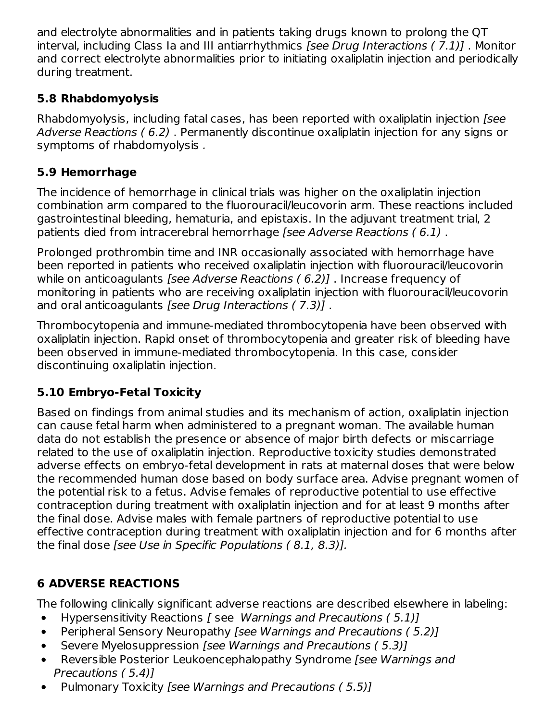and electrolyte abnormalities and in patients taking drugs known to prolong the QT interval, including Class Ia and III antiarrhythmics [see Drug Interactions ( 7.1)] . Monitor and correct electrolyte abnormalities prior to initiating oxaliplatin injection and periodically during treatment.

## **5.8 Rhabdomyolysis**

Rhabdomyolysis, including fatal cases, has been reported with oxaliplatin injection [see Adverse Reactions ( 6.2) . Permanently discontinue oxaliplatin injection for any signs or symptoms of rhabdomyolysis .

## **5.9 Hemorrhage**

The incidence of hemorrhage in clinical trials was higher on the oxaliplatin injection combination arm compared to the fluorouracil/leucovorin arm. These reactions included gastrointestinal bleeding, hematuria, and epistaxis. In the adjuvant treatment trial, 2 patients died from intracerebral hemorrhage [see Adverse Reactions ( 6.1) .

Prolonged prothrombin time and INR occasionally associated with hemorrhage have been reported in patients who received oxaliplatin injection with fluorouracil/leucovorin while on anticoagulants [see Adverse Reactions (6.2)]. Increase frequency of monitoring in patients who are receiving oxaliplatin injection with fluorouracil/leucovorin and oral anticoagulants [see Drug Interactions ( 7.3)] .

Thrombocytopenia and immune-mediated thrombocytopenia have been observed with oxaliplatin injection. Rapid onset of thrombocytopenia and greater risk of bleeding have been observed in immune-mediated thrombocytopenia. In this case, consider discontinuing oxaliplatin injection.

## **5.10 Embryo-Fetal Toxicity**

Based on findings from animal studies and its mechanism of action, oxaliplatin injection can cause fetal harm when administered to a pregnant woman. The available human data do not establish the presence or absence of major birth defects or miscarriage related to the use of oxaliplatin injection. Reproductive toxicity studies demonstrated adverse effects on embryo-fetal development in rats at maternal doses that were below the recommended human dose based on body surface area. Advise pregnant women of the potential risk to a fetus. Advise females of reproductive potential to use effective contraception during treatment with oxaliplatin injection and for at least 9 months after the final dose. Advise males with female partners of reproductive potential to use effective contraception during treatment with oxaliplatin injection and for 6 months after the final dose [see Use in Specific Populations ( 8.1, 8.3)].

## **6 ADVERSE REACTIONS**

The following clinically significant adverse reactions are described elsewhere in labeling:

- Hypersensitivity Reactions [ see Warnings and Precautions ( 5.1)]
- Peripheral Sensory Neuropathy [see Warnings and Precautions ( 5.2)]  $\bullet$
- Severe Myelosuppression [see Warnings and Precautions ( 5.3)]  $\bullet$
- $\bullet$ Reversible Posterior Leukoencephalopathy Syndrome [see Warnings and Precautions ( 5.4)]
- Pulmonary Toxicity [see Warnings and Precautions ( 5.5)] $\bullet$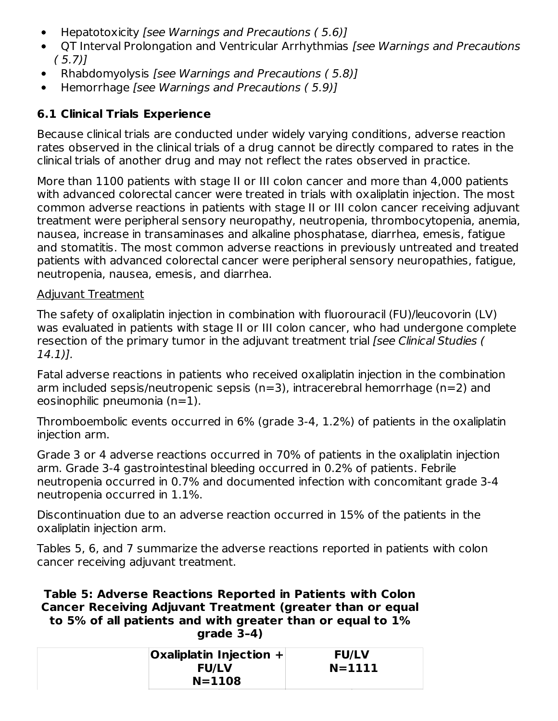- Hepatotoxicity [see Warnings and Precautions ( 5.6)]  $\bullet$
- QT Interval Prolongation and Ventricular Arrhythmias [see Warnings and Precautions  $\bullet$  $(5.7)$
- Rhabdomyolysis [see Warnings and Precautions ( 5.8)]  $\bullet$
- Hemorrhage [see Warnings and Precautions ( 5.9)]  $\bullet$

## **6.1 Clinical Trials Experience**

Because clinical trials are conducted under widely varying conditions, adverse reaction rates observed in the clinical trials of a drug cannot be directly compared to rates in the clinical trials of another drug and may not reflect the rates observed in practice.

More than 1100 patients with stage II or III colon cancer and more than 4,000 patients with advanced colorectal cancer were treated in trials with oxaliplatin injection. The most common adverse reactions in patients with stage II or III colon cancer receiving adjuvant treatment were peripheral sensory neuropathy, neutropenia, thrombocytopenia, anemia, nausea, increase in transaminases and alkaline phosphatase, diarrhea, emesis, fatigue and stomatitis. The most common adverse reactions in previously untreated and treated patients with advanced colorectal cancer were peripheral sensory neuropathies, fatigue, neutropenia, nausea, emesis, and diarrhea.

### Adjuvant Treatment

The safety of oxaliplatin injection in combination with fluorouracil (FU)/leucovorin (LV) was evaluated in patients with stage II or III colon cancer, who had undergone complete resection of the primary tumor in the adjuvant treatment trial [see Clinical Studies ( 14.1)].

Fatal adverse reactions in patients who received oxaliplatin injection in the combination arm included sepsis/neutropenic sepsis (n=3), intracerebral hemorrhage (n=2) and eosinophilic pneumonia (n=1).

Thromboembolic events occurred in 6% (grade 3-4, 1.2%) of patients in the oxaliplatin injection arm.

Grade 3 or 4 adverse reactions occurred in 70% of patients in the oxaliplatin injection arm. Grade 3-4 gastrointestinal bleeding occurred in 0.2% of patients. Febrile neutropenia occurred in 0.7% and documented infection with concomitant grade 3-4 neutropenia occurred in 1.1%.

Discontinuation due to an adverse reaction occurred in 15% of the patients in the oxaliplatin injection arm.

Tables 5, 6, and 7 summarize the adverse reactions reported in patients with colon cancer receiving adjuvant treatment.

#### **Table 5: Adverse Reactions Reported in Patients with Colon Cancer Receiving Adjuvant Treatment (greater than or equal to 5% of all patients and with greater than or equal to 1% grade 3–4)**

| $\alpha$ Oxaliplatin Injection + | <b>FU/LV</b> |
|----------------------------------|--------------|
| <b>FU/LV</b>                     | $N = 1111$   |
| $N = 1108$                       |              |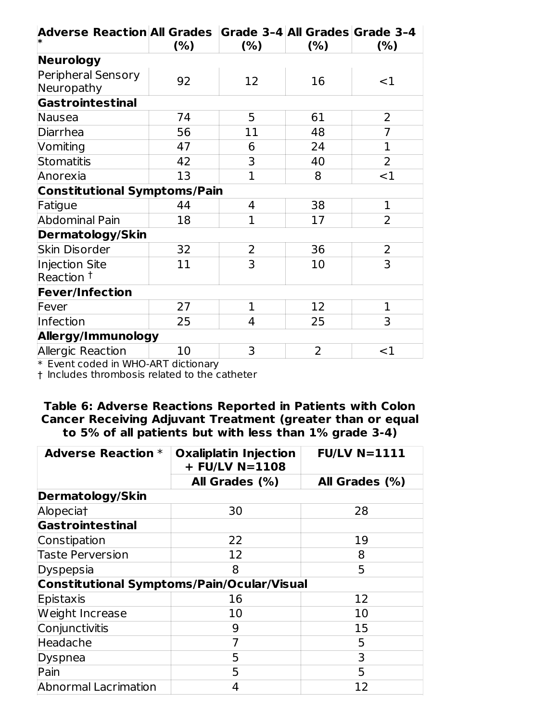| Adverse Reaction All Grades Grade 3-4 All Grades Grade 3-4 | (%) | (% )         | (% )           | (%)            |
|------------------------------------------------------------|-----|--------------|----------------|----------------|
| Neurology                                                  |     |              |                |                |
| Peripheral Sensory<br>Neuropathy                           | 92  | 12           | 16             | $<$ 1          |
| Gastrointestinal                                           |     |              |                |                |
| Nausea                                                     | 74  | 5            | 61             | $\overline{2}$ |
| Diarrhea                                                   | 56  | 11           | 48             | $\overline{7}$ |
| Vomiting                                                   | 47  | 6            | 24             | $\overline{1}$ |
| Stomatitis                                                 | 42  | 3            | 40             | $\overline{2}$ |
| Anorexia                                                   | 13  | $\mathbf{1}$ | 8              | <1             |
| <b>Constitutional Symptoms/Pain</b>                        |     |              |                |                |
| Fatigue                                                    | 44  | 4            | 38             | $\mathbf{1}$   |
| <b>Abdominal Pain</b>                                      | 18  | 1            | 17             | $\overline{2}$ |
| <b>Dermatology/Skin</b>                                    |     |              |                |                |
| Skin Disorder                                              | 32  | 2            | 36             | 2              |
| Injection Site<br>Reaction <sup>†</sup>                    | 11  | 3            | 10             | 3              |
| <b>Fever/Infection</b>                                     |     |              |                |                |
| Fever                                                      | 27  | $\mathbf 1$  | 12             | 1              |
| Infection                                                  | 25  | 4            | 25             | 3              |
| Allergy/Immunology                                         |     |              |                |                |
| Allergic Reaction                                          | 10  | 3            | $\overline{2}$ | $<$ 1          |

\* Event coded in WHO-ART dictionary

† Includes thrombosis related to the catheter

### **Table 6: Adverse Reactions Reported in Patients with Colon Cancer Receiving Adjuvant Treatment (greater than or equal to 5% of all patients but with less than 1% grade 3-4)**

| <b>Adverse Reaction *</b>                         | <b>Oxaliplatin Injection</b><br>$+$ FU/LV N=1108 | <b>FU/LV N=1111</b> |  |
|---------------------------------------------------|--------------------------------------------------|---------------------|--|
|                                                   | All Grades (%)                                   | All Grades (%)      |  |
| Dermatology/Skin                                  |                                                  |                     |  |
| Alopeciat                                         | 30                                               | 28                  |  |
| Gastrointestinal                                  |                                                  |                     |  |
| Constipation                                      | 22                                               | 19                  |  |
| <b>Taste Perversion</b>                           | 12                                               | 8                   |  |
| Dyspepsia                                         | 8                                                | 5                   |  |
| <b>Constitutional Symptoms/Pain/Ocular/Visual</b> |                                                  |                     |  |
| Epistaxis                                         | 16                                               | 12                  |  |
| Weight Increase                                   | 10                                               | 10                  |  |
| Conjunctivitis                                    | 9                                                | 15                  |  |
| Headache                                          | 7                                                | 5                   |  |
| Dyspnea                                           | 5                                                | 3                   |  |
| Pain                                              | 5                                                | 5                   |  |
| Abnormal Lacrimation                              | 4                                                | 12                  |  |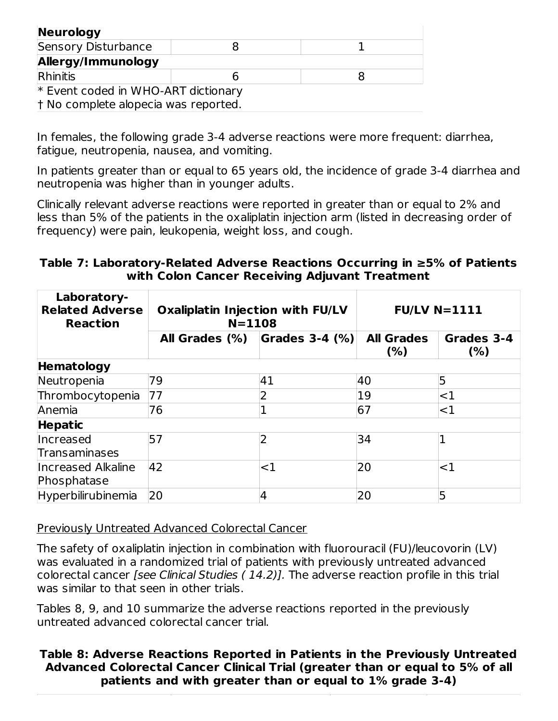| Neurology                            |   |  |  |  |  |  |
|--------------------------------------|---|--|--|--|--|--|
| Sensory Disturbance                  |   |  |  |  |  |  |
| Allergy/Immunology                   |   |  |  |  |  |  |
| Rhinitis                             | h |  |  |  |  |  |
| * Event coded in WHO-ART dictionary  |   |  |  |  |  |  |
| t No complete alopecia was reported. |   |  |  |  |  |  |

In females, the following grade 3-4 adverse reactions were more frequent: diarrhea, fatigue, neutropenia, nausea, and vomiting.

In patients greater than or equal to 65 years old, the incidence of grade 3-4 diarrhea and neutropenia was higher than in younger adults.

Clinically relevant adverse reactions were reported in greater than or equal to 2% and less than 5% of the patients in the oxaliplatin injection arm (listed in decreasing order of frequency) were pain, leukopenia, weight loss, and cough.

#### **Table 7: Laboratory-Related Adverse Reactions Occurring in ≥5% of Patients with Colon Cancer Receiving Adjuvant Treatment**

| Laboratory-<br><b>Related Adverse</b><br><b>Reaction</b> | <b>Oxaliplatin Injection with FU/LV</b><br>$N = 1108$ |                | <b>FU/LV N=1111</b>      |                   |  |
|----------------------------------------------------------|-------------------------------------------------------|----------------|--------------------------|-------------------|--|
|                                                          | All Grades (%)                                        | Grades 3-4 (%) | <b>All Grades</b><br>(%) | Grades 3-4<br>(%) |  |
| Hematology                                               |                                                       |                |                          |                   |  |
| Neutropenia                                              | 79                                                    | 41             | 40                       | 5                 |  |
| Thrombocytopenia                                         | 77                                                    |                | 19                       | $<$ 1             |  |
| Anemia                                                   | 76                                                    |                | 67                       | <1                |  |
| <b>Hepatic</b>                                           |                                                       |                |                          |                   |  |
| Increased                                                | 57                                                    |                | 34                       |                   |  |
| Transaminases                                            |                                                       |                |                          |                   |  |
| Increased Alkaline                                       | 42                                                    | ${<}1$         | 20                       | $<$ 1             |  |
| Phosphatase                                              |                                                       |                |                          |                   |  |
| Hyperbilirubinemia                                       | 20                                                    |                | 20                       | 5                 |  |

Previously Untreated Advanced Colorectal Cancer

The safety of oxaliplatin injection in combination with fluorouracil (FU)/leucovorin (LV) was evaluated in a randomized trial of patients with previously untreated advanced colorectal cancer [see Clinical Studies ( 14.2)]. The adverse reaction profile in this trial was similar to that seen in other trials.

Tables 8, 9, and 10 summarize the adverse reactions reported in the previously untreated advanced colorectal cancer trial.

### **Table 8: Adverse Reactions Reported in Patients in the Previously Untreated Advanced Colorectal Cancer Clinical Trial (greater than or equal to 5% of all patients and with greater than or equal to 1% grade 3-4)**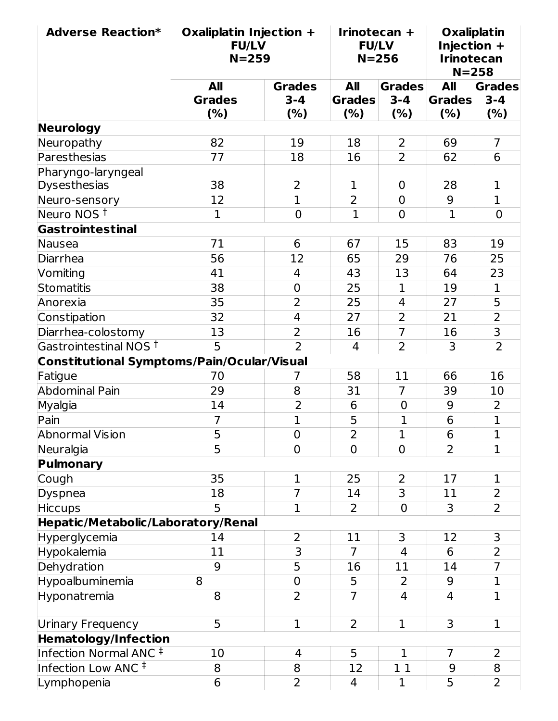| <b>Adverse Reaction*</b>                   | Oxaliplatin Injection +<br><b>FU/LV</b><br>$N = 259$ |                         | Irinotecan +<br><b>FU/LV</b> | $N = 256$      | Injection +<br><b>Irinotecan</b><br>$N = 258$ | <b>Oxaliplatin</b>      |
|--------------------------------------------|------------------------------------------------------|-------------------------|------------------------------|----------------|-----------------------------------------------|-------------------------|
|                                            | <b>All</b>                                           | <b>Grades</b>           | <b>All</b>                   | <b>Grades</b>  | All                                           | <b>Grades</b>           |
|                                            | <b>Grades</b>                                        | $3 - 4$                 | <b>Grades</b>                | $3 - 4$        | <b>Grades</b>                                 | $3 - 4$                 |
|                                            | (%)                                                  | (%)                     | (%)                          | (%)            | (%)                                           | (%)                     |
| Neurology                                  |                                                      |                         |                              |                |                                               |                         |
| Neuropathy                                 | 82                                                   | 19                      | 18                           | 2              | 69                                            | $\overline{7}$          |
| Paresthesias                               | 77                                                   | 18                      | 16                           | $\overline{2}$ | 62                                            | 6                       |
| Pharyngo-laryngeal                         |                                                      |                         |                              |                |                                               |                         |
| Dysesthesias                               | 38                                                   | 2                       | 1                            | $\overline{0}$ | 28                                            | 1                       |
| Neuro-sensory                              | 12                                                   | $\mathbf{1}$            | $\overline{2}$               | $\mathbf 0$    | 9                                             | $\mathbf{1}$            |
| Neuro NOS <sup>t</sup>                     | $\mathbf{1}$                                         | $\overline{0}$          | $\overline{1}$               | $\mathbf 0$    | $\overline{1}$                                | $\overline{0}$          |
| Gastrointestinal                           |                                                      |                         |                              |                |                                               |                         |
| Nausea                                     | 71                                                   | 6                       | 67                           | 15             | 83                                            | 19                      |
| Diarrhea                                   | 56                                                   | 12                      | 65                           | 29             | 76                                            | 25                      |
| Vomiting                                   | 41                                                   | 4                       | 43                           | 13             | 64                                            | 23                      |
| <b>Stomatitis</b>                          | 38                                                   | $\mathbf 0$             | 25                           | $\mathbf 1$    | 19                                            | $\mathbf{1}$            |
| Anorexia                                   | 35                                                   | $\overline{2}$          | 25                           | 4              | 27                                            | $\overline{5}$          |
| Constipation                               | 32                                                   | $\overline{4}$          | 27                           | $\overline{2}$ | 21                                            | $\overline{2}$          |
| Diarrhea-colostomy                         | 13                                                   | $\overline{2}$          | 16                           | $\overline{7}$ | 16                                            | $\overline{\mathsf{3}}$ |
| Gastrointestinal NOS <sup>+</sup>          | 5                                                    | $\overline{2}$          | $\overline{4}$               | $\overline{2}$ | 3                                             | $\overline{2}$          |
| Constitutional Symptoms/Pain/Ocular/Visual |                                                      |                         |                              |                |                                               |                         |
| Fatigue                                    | 70                                                   | 7                       | 58                           | 11             | 66                                            | 16                      |
| <b>Abdominal Pain</b>                      | 29                                                   | 8                       | 31                           | $\overline{7}$ | 39                                            | 10                      |
| Myalgia                                    | 14                                                   | $\overline{2}$          | 6                            | $\mathbf 0$    | 9                                             | $\overline{2}$          |
| Pain                                       | $\overline{7}$                                       | $\mathbf 1$             | 5                            | $\overline{1}$ | 6                                             | $\mathbf 1$             |
| <b>Abnormal Vision</b>                     | 5                                                    | $\mathbf 0$             | $\overline{2}$               | $\mathbf 1$    | 6                                             | $\mathbf 1$             |
| Neuralgia                                  | 5                                                    | 0                       | $\overline{0}$               | $\overline{0}$ | $\overline{2}$                                | $\mathbf{1}$            |
| Pulmonary                                  |                                                      |                         |                              |                |                                               |                         |
| Cough                                      | 35                                                   | 1                       | 25                           | 2              | 17                                            | 1                       |
| Dyspnea                                    | 18                                                   | $\overline{7}$          | 14                           | $\overline{3}$ | 11                                            | $\overline{2}$          |
| <b>Hiccups</b>                             | 5                                                    | $\mathbf 1$             | $\overline{2}$               | $\mathbf 0$    | 3                                             | $\overline{2}$          |
| Hepatic/Metabolic/Laboratory/Renal         |                                                      |                         |                              |                |                                               |                         |
| Hyperglycemia                              | 14                                                   | $\overline{2}$          | 11                           | 3              | 12                                            | 3                       |
| Hypokalemia                                | 11                                                   | $\overline{\mathbf{3}}$ | $\overline{7}$               | $\overline{4}$ | 6                                             | $\overline{2}$          |
| Dehydration                                | 9                                                    | 5                       | 16                           | 11             | 14                                            | $\overline{7}$          |
| Hypoalbuminemia                            | 8                                                    | $\pmb{0}$               | 5                            | $\overline{2}$ | 9                                             | $\mathbf{1}$            |
| Hyponatremia                               | 8                                                    | $\overline{2}$          | $\overline{7}$               | 4              | 4                                             | $\mathbf 1$             |
| Urinary Frequency                          | 5                                                    | $\mathbf{1}$            | $\overline{2}$               | $\mathbf{1}$   | 3                                             | $\mathbf{1}$            |
| <b>Hematology/Infection</b>                |                                                      |                         |                              |                |                                               |                         |
| Infection Normal ANC $‡$                   | 10                                                   | 4                       | 5                            | $\mathbf{1}$   | $\overline{7}$                                | $\overline{2}$          |
| Infection Low ANC <sup>#</sup>             | 8                                                    | 8                       | 12                           | 11             | 9                                             | 8                       |
| Lymphopenia                                | 6                                                    | $\overline{2}$          | $\overline{4}$               | $\mathbf{1}$   | 5                                             | $\overline{2}$          |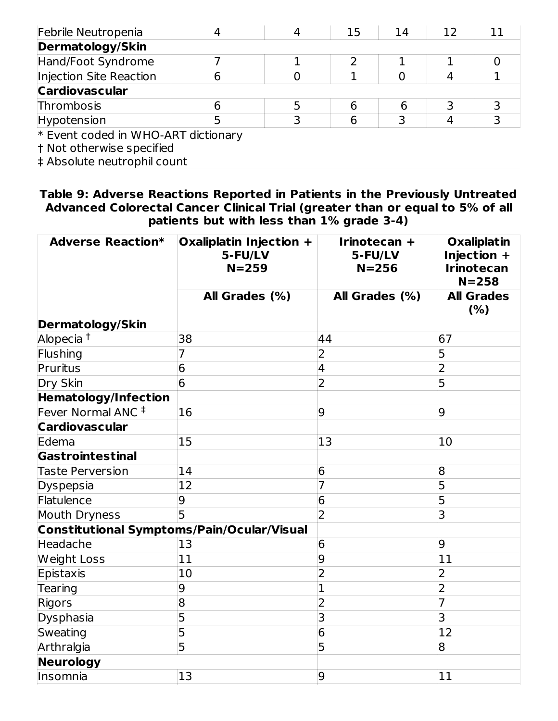| Febrile Neutropenia                 |  | 15 | 14 | 12 |  |
|-------------------------------------|--|----|----|----|--|
| <b>Dermatology/Skin</b>             |  |    |    |    |  |
| Hand/Foot Syndrome                  |  |    |    |    |  |
| Injection Site Reaction             |  |    |    |    |  |
| <b>Cardiovascular</b>               |  |    |    |    |  |
| Thrombosis                          |  |    |    |    |  |
| Hypotension                         |  |    |    |    |  |
| * Event coded in WHO-ART dictionary |  |    |    |    |  |

† Not otherwise specified

‡ Absolute neutrophil count

**Table 9: Adverse Reactions Reported in Patients in the Previously Untreated Advanced Colorectal Cancer Clinical Trial (greater than or equal to 5% of all patients but with less than 1% grade 3-4)**

| <b>Adverse Reaction*</b>                   | Oxaliplatin Injection +<br>5-FU/LV<br>$N = 259$ | Irinotecan +<br>5-FU/LV<br>$N = 256$ | <b>Oxaliplatin</b><br>Injection +<br><b>Irinotecan</b><br>$N = 258$ |
|--------------------------------------------|-------------------------------------------------|--------------------------------------|---------------------------------------------------------------------|
|                                            | All Grades (%)                                  | All Grades (%)                       | <b>All Grades</b><br>(% )                                           |
| <b>Dermatology/Skin</b>                    |                                                 |                                      |                                                                     |
| Alopecia <sup>t</sup>                      | 38                                              | 44                                   | 67                                                                  |
| Flushing                                   | 7                                               | 2                                    | 5                                                                   |
| Pruritus                                   | 6                                               | 4                                    | $\overline{2}$                                                      |
| Dry Skin                                   | 6                                               | $\overline{2}$                       | 5                                                                   |
| <b>Hematology/Infection</b>                |                                                 |                                      |                                                                     |
| Fever Normal ANC <sup>#</sup>              | 16                                              | 9                                    | $\overline{9}$                                                      |
| <b>Cardiovascular</b>                      |                                                 |                                      |                                                                     |
| Edema                                      | 15                                              | 13                                   | 10                                                                  |
| Gastrointestinal                           |                                                 |                                      |                                                                     |
| <b>Taste Perversion</b>                    | 14                                              | 6                                    | 8                                                                   |
| Dyspepsia                                  | 12                                              | 7                                    | 5                                                                   |
| Flatulence                                 | 9                                               | 6                                    | 5                                                                   |
| Mouth Dryness                              | 5                                               | $\overline{2}$                       | 3                                                                   |
| Constitutional Symptoms/Pain/Ocular/Visual |                                                 |                                      |                                                                     |
| Headache                                   | 13                                              | 6                                    | 9                                                                   |
| <b>Weight Loss</b>                         | 11                                              | 9                                    | 11                                                                  |
| Epistaxis                                  | 10                                              | 2                                    | $\overline{2}$                                                      |
| Tearing                                    | 9                                               | 1                                    | $\overline{2}$                                                      |
| Rigors                                     | 8                                               | $\overline{2}$                       | 7                                                                   |
| Dysphasia                                  | 5                                               | 3                                    | 3                                                                   |
| Sweating                                   | 5                                               | 6                                    | 12                                                                  |
| Arthralgia                                 | 5                                               | 5                                    | 8                                                                   |
| Neurology                                  |                                                 |                                      |                                                                     |
| Insomnia                                   | 13                                              | 9                                    | 11                                                                  |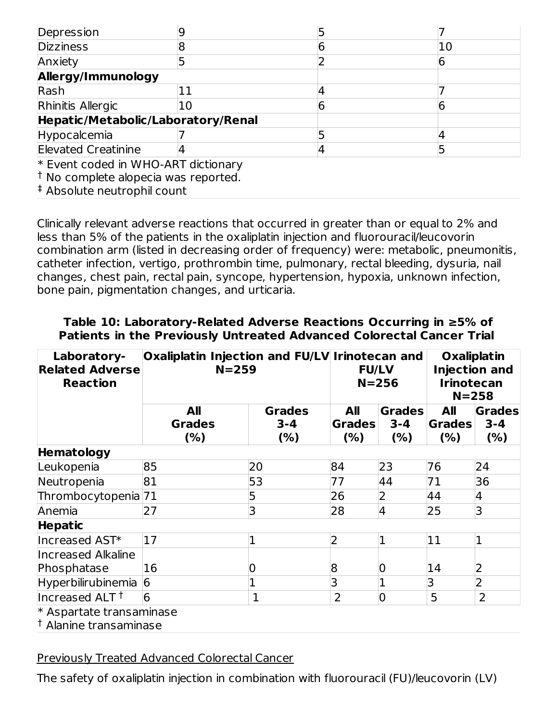| Depression                          |    |  |
|-------------------------------------|----|--|
| <b>Dizziness</b>                    |    |  |
| Anxiety                             |    |  |
| Allergy/Immunology                  |    |  |
| Rash                                |    |  |
| Rhinitis Allergic                   | 10 |  |
| Hepatic/Metabolic/Laboratory/Renal  |    |  |
| Hypocalcemia                        |    |  |
| <b>Elevated Creatinine</b>          |    |  |
| * Event coded in WHO-ART dictionary |    |  |

 $\dagger$  No complete alopecia was reported.

Absolute neutrophil count ‡

Clinically relevant adverse reactions that occurred in greater than or equal to 2% and less than 5% of the patients in the oxaliplatin injection and fluorouracil/leucovorin combination arm (listed in decreasing order of frequency) were: metabolic, pneumonitis, catheter infection, vertigo, prothrombin time, pulmonary, rectal bleeding, dysuria, nail changes, chest pain, rectal pain, syncope, hypertension, hypoxia, unknown infection, bone pain, pigmentation changes, and urticaria.

| Laboratory-<br><b>Related Adverse</b><br><b>Reaction</b>      | Oxaliplatin Injection and FU/LV Irinotecan and<br>$N = 259$ |                                 | <b>FU/LV</b><br>$N = 256$   |                                  | <b>Oxaliplatin</b><br><b>Injection and</b><br><b>Irinotecan</b><br>$N = 258$ |                                  |
|---------------------------------------------------------------|-------------------------------------------------------------|---------------------------------|-----------------------------|----------------------------------|------------------------------------------------------------------------------|----------------------------------|
|                                                               | All<br><b>Grades</b><br>(%)                                 | <b>Grades</b><br>$3 - 4$<br>(%) | All<br><b>Grades</b><br>(%) | <b>Grades</b><br>$3 - 4$<br>(% ) | All<br><b>Grades</b><br>(%)                                                  | <b>Grades</b><br>$3 - 4$<br>(% ) |
| Hematology                                                    |                                                             |                                 |                             |                                  |                                                                              |                                  |
| Leukopenia                                                    | 85                                                          | 20                              | 84                          | 23                               | 76                                                                           | 24                               |
| Neutropenia                                                   | 81                                                          | 53                              | 77                          | 44                               | 71                                                                           | 36                               |
| Thrombocytopenia 71                                           |                                                             | 5                               | 26                          | 2                                | 44                                                                           | 4                                |
| Anemia                                                        | 27                                                          | 3                               | 28                          | $\overline{4}$                   | 25                                                                           | 3                                |
| <b>Hepatic</b>                                                |                                                             |                                 |                             |                                  |                                                                              |                                  |
| Increased AST*                                                | 17                                                          | 1                               | $\overline{2}$              | 1                                | 11                                                                           | $\mathbf{1}$                     |
| <b>Increased Alkaline</b>                                     |                                                             |                                 |                             |                                  |                                                                              |                                  |
| Phosphatase                                                   | 16                                                          |                                 | 8                           | 0                                | 14                                                                           | 2                                |
| Hyperbilirubinemia                                            | 6                                                           | $\overline{1}$                  | 3                           |                                  | 3                                                                            | $\overline{2}$                   |
| Increased ALT <sup>+</sup>                                    | 6                                                           | 1                               | $\overline{2}$              | $\overline{0}$                   | 5                                                                            | 2                                |
| * Aspartate transaminase<br><sup>†</sup> Alanine transaminase |                                                             |                                 |                             |                                  |                                                                              |                                  |

#### **Table 10: Laboratory-Related Adverse Reactions Occurring in ≥5% of Patients in the Previously Untreated Advanced Colorectal Cancer Trial**

Previously Treated Advanced Colorectal Cancer

The safety of oxaliplatin injection in combination with fluorouracil (FU)/leucovorin (LV)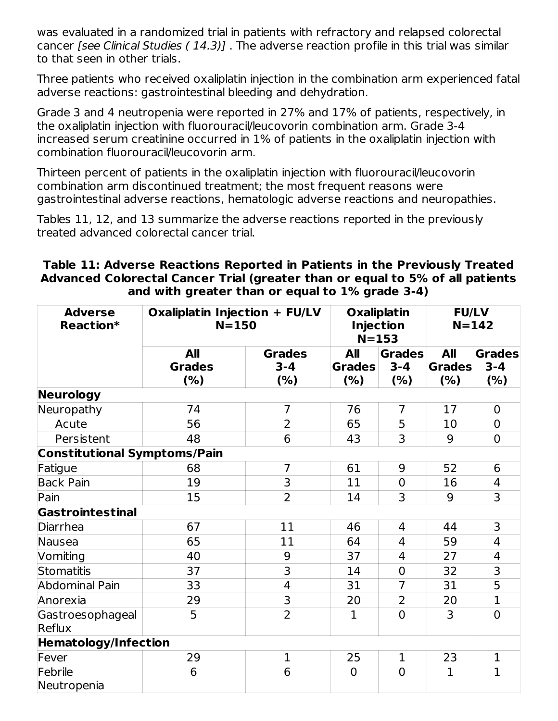was evaluated in a randomized trial in patients with refractory and relapsed colorectal cancer [see Clinical Studies ( 14.3)] . The adverse reaction profile in this trial was similar to that seen in other trials.

Three patients who received oxaliplatin injection in the combination arm experienced fatal adverse reactions: gastrointestinal bleeding and dehydration.

Grade 3 and 4 neutropenia were reported in 27% and 17% of patients, respectively, in the oxaliplatin injection with fluorouracil/leucovorin combination arm. Grade 3-4 increased serum creatinine occurred in 1% of patients in the oxaliplatin injection with combination fluorouracil/leucovorin arm.

Thirteen percent of patients in the oxaliplatin injection with fluorouracil/leucovorin combination arm discontinued treatment; the most frequent reasons were gastrointestinal adverse reactions, hematologic adverse reactions and neuropathies.

Tables 11, 12, and 13 summarize the adverse reactions reported in the previously treated advanced colorectal cancer trial.

### **Table 11: Adverse Reactions Reported in Patients in the Previously Treated Advanced Colorectal Cancer Trial (greater than or equal to 5% of all patients and with greater than or equal to 1% grade 3-4)**

| <b>Adverse</b><br>Reaction*         | Oxaliplatin Injection + FU/LV<br>$N = 150$ |                                 | <b>Oxaliplatin</b><br><b>Injection</b><br>$N = 153$ |                                  | <b>FU/LV</b><br>$N = 142$   |                                 |
|-------------------------------------|--------------------------------------------|---------------------------------|-----------------------------------------------------|----------------------------------|-----------------------------|---------------------------------|
|                                     | <b>All</b><br><b>Grades</b><br>(%)         | <b>Grades</b><br>$3 - 4$<br>(%) | All<br><b>Grades</b><br>(%)                         | <b>Grades</b><br>$3 - 4$<br>(% ) | All<br><b>Grades</b><br>(%) | <b>Grades</b><br>$3 - 4$<br>(%) |
| <b>Neurology</b>                    |                                            |                                 |                                                     |                                  |                             |                                 |
| Neuropathy                          | 74                                         | $\overline{7}$                  | 76                                                  | 7                                | 17                          | $\mathbf 0$                     |
| Acute                               | 56                                         | 2                               | 65                                                  | 5                                | 10                          | $\Omega$                        |
| Persistent                          | 48                                         | 6                               | 43                                                  | 3                                | 9                           | $\overline{0}$                  |
| <b>Constitutional Symptoms/Pain</b> |                                            |                                 |                                                     |                                  |                             |                                 |
| Fatigue                             | 68                                         | $\overline{7}$                  | 61                                                  | 9                                | 52                          | 6                               |
| <b>Back Pain</b>                    | 19                                         | 3                               | 11                                                  | $\mathbf 0$                      | 16                          | 4                               |
| Pain                                | 15                                         | $\overline{2}$                  | 14                                                  | 3                                | 9                           | 3                               |
| <b>Gastrointestinal</b>             |                                            |                                 |                                                     |                                  |                             |                                 |
| <b>Diarrhea</b>                     | 67                                         | 11                              | 46                                                  | 4                                | 44                          | 3                               |
| Nausea                              | 65                                         | 11                              | 64                                                  | 4                                | 59                          | $\overline{4}$                  |
| Vomiting                            | 40                                         | 9                               | 37                                                  | 4                                | 27                          | $\overline{4}$                  |
| <b>Stomatitis</b>                   | 37                                         | $\overline{\mathsf{B}}$         | 14                                                  | $\mathbf 0$                      | 32                          | 3                               |
| <b>Abdominal Pain</b>               | 33                                         | 4                               | 31                                                  | $\overline{7}$                   | 31                          | 5                               |
| Anorexia                            | 29                                         | 3                               | 20                                                  | 2                                | 20                          | $\mathbf{1}$                    |
| Gastroesophageal<br>Reflux          | 5                                          | $\overline{2}$                  | $\mathbf{1}$                                        | $\overline{0}$                   | 3                           | $\Omega$                        |
| <b>Hematology/Infection</b>         |                                            |                                 |                                                     |                                  |                             |                                 |
| Fever                               | 29                                         | $\mathbf{1}$                    | 25                                                  | $\mathbf 1$                      | 23                          | $\mathbf{1}$                    |
| Febrile<br>Neutropenia              | 6                                          | 6                               | $\Omega$                                            | $\overline{0}$                   | $\mathbf{1}$                | $\mathbf{1}$                    |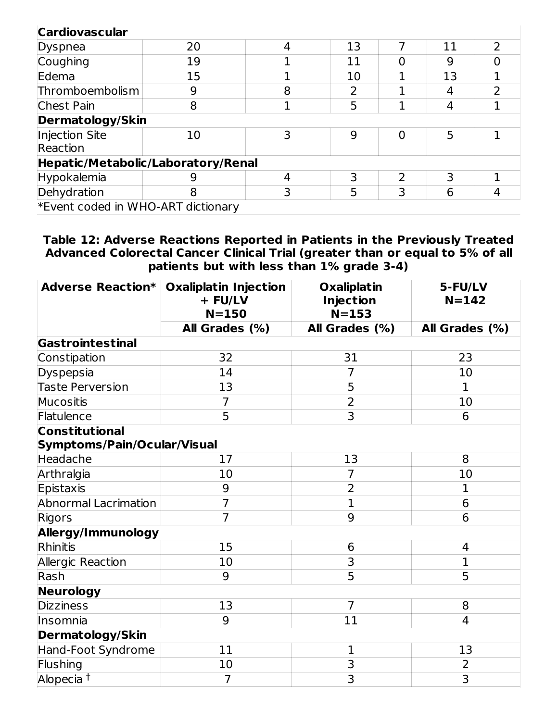## **Cardiovascular**

| <b>Cardiovascular</b>              |    |   |    |   |    |                          |
|------------------------------------|----|---|----|---|----|--------------------------|
| Dyspnea                            | 20 | 4 | 13 |   | 11 | $\overline{\phantom{0}}$ |
| Coughing                           | 19 |   | 11 |   | 9  |                          |
| Edema                              | 15 |   | 10 |   | 13 |                          |
| Thromboembolism                    | 9  | 8 |    |   | 4  |                          |
| <b>Chest Pain</b>                  | 8  |   | 5  |   | 4  |                          |
| Dermatology/Skin                   |    |   |    |   |    |                          |
| Injection Site                     | 10 | 3 | 9  | N | 5  |                          |
| Reaction                           |    |   |    |   |    |                          |
| Hepatic/Metabolic/Laboratory/Renal |    |   |    |   |    |                          |
| Hypokalemia                        | 9  | 4 | 3  | 2 | 3  |                          |
| Dehydration                        | 8  | 3 | 5  | 3 | 6  | 4                        |
| *Event coded in WHO-ART dictionary |    |   |    |   |    |                          |

**Table 12: Adverse Reactions Reported in Patients in the Previously Treated Advanced Colorectal Cancer Clinical Trial (greater than or equal to 5% of all patients but with less than 1% grade 3-4)**

| <b>Adverse Reaction*</b>                             | <b>Oxaliplatin Injection</b><br><b>Oxaliplatin</b><br>+ FU/LV<br><b>Injection</b><br>$N = 153$<br>$N = 150$ |                | 5-FU/LV<br>$N = 142$ |  |  |  |  |
|------------------------------------------------------|-------------------------------------------------------------------------------------------------------------|----------------|----------------------|--|--|--|--|
|                                                      | All Grades (%)                                                                                              | All Grades (%) | All Grades (%)       |  |  |  |  |
| Gastrointestinal                                     |                                                                                                             |                |                      |  |  |  |  |
| Constipation                                         | 32                                                                                                          | 31             | 23                   |  |  |  |  |
| Dyspepsia                                            | 14                                                                                                          | $\overline{7}$ | 10                   |  |  |  |  |
| <b>Taste Perversion</b>                              | 13                                                                                                          | 5              | $\mathbf 1$          |  |  |  |  |
| Mucositis                                            | $\overline{7}$                                                                                              | $\overline{2}$ | 10                   |  |  |  |  |
| Flatulence                                           | $\overline{5}$                                                                                              | $\overline{3}$ | 6                    |  |  |  |  |
| <b>Constitutional</b><br>Symptoms/Pain/Ocular/Visual |                                                                                                             |                |                      |  |  |  |  |
| Headache                                             | 17                                                                                                          | 13             | 8                    |  |  |  |  |
| Arthralgia                                           | 10                                                                                                          | $\overline{7}$ | 10                   |  |  |  |  |
| <b>Epistaxis</b>                                     | 9                                                                                                           | $\overline{2}$ | 1                    |  |  |  |  |
| <b>Abnormal Lacrimation</b>                          | $\overline{7}$                                                                                              | $\overline{1}$ | 6                    |  |  |  |  |
| Rigors                                               | $\overline{7}$                                                                                              | 9              | 6                    |  |  |  |  |
| Allergy/Immunology                                   |                                                                                                             |                |                      |  |  |  |  |
| Rhinitis                                             | 15                                                                                                          | 6              | 4                    |  |  |  |  |
| Allergic Reaction                                    | 10                                                                                                          | 3              | $\mathbf{1}$         |  |  |  |  |
| Rash                                                 | 9                                                                                                           | 5              | 5                    |  |  |  |  |
| Neurology                                            |                                                                                                             |                |                      |  |  |  |  |
| <b>Dizziness</b>                                     | 13                                                                                                          | $\overline{7}$ | 8                    |  |  |  |  |
| Insomnia                                             | 9                                                                                                           | 11             | 4                    |  |  |  |  |
| <b>Dermatology/Skin</b>                              |                                                                                                             |                |                      |  |  |  |  |
| Hand-Foot Syndrome                                   | 11                                                                                                          | $\mathbf 1$    | 13                   |  |  |  |  |
| Flushing                                             | 10                                                                                                          | $\overline{3}$ | $\overline{2}$       |  |  |  |  |
| Alopecia <sup>t</sup>                                | 7                                                                                                           | 3              | 3                    |  |  |  |  |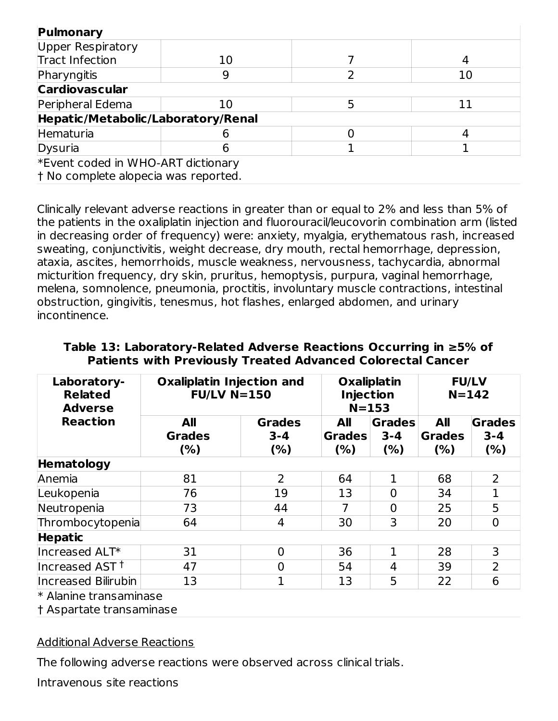| Pulmonary                            |    |    |
|--------------------------------------|----|----|
| Upper Respiratory                    |    |    |
| Tract Infection                      | 10 |    |
| Pharyngitis                          |    | 10 |
| <b>Cardiovascular</b>                |    |    |
| Peripheral Edema                     | 10 | 11 |
| Hepatic/Metabolic/Laboratory/Renal   |    |    |
| Hematuria                            |    |    |
| Dysuria                              |    |    |
| *Event coded in WHO-ART dictionary   |    |    |
| t No complete alopecia was reported. |    |    |

Clinically relevant adverse reactions in greater than or equal to 2% and less than 5% of the patients in the oxaliplatin injection and fluorouracil/leucovorin combination arm (listed in decreasing order of frequency) were: anxiety, myalgia, erythematous rash, increased sweating, conjunctivitis, weight decrease, dry mouth, rectal hemorrhage, depression, ataxia, ascites, hemorrhoids, muscle weakness, nervousness, tachycardia, abnormal micturition frequency, dry skin, pruritus, hemoptysis, purpura, vaginal hemorrhage, melena, somnolence, pneumonia, proctitis, involuntary muscle contractions, intestinal obstruction, gingivitis, tenesmus, hot flashes, enlarged abdomen, and urinary incontinence.

| Laboratory-<br><b>Related</b><br><b>Adverse</b><br><b>Reaction</b> | <b>Oxaliplatin Injection and</b><br>$FU/LV$ N=150 |                                 | <b>Oxaliplatin</b><br><b>Injection</b><br>$N = 153$ |                                  | <b>FU/LV</b><br>$N = 142$   |                                  |
|--------------------------------------------------------------------|---------------------------------------------------|---------------------------------|-----------------------------------------------------|----------------------------------|-----------------------------|----------------------------------|
|                                                                    | All<br><b>Grades</b><br>(%)                       | <b>Grades</b><br>$3 - 4$<br>(%) | All<br><b>Grades</b><br>(%)                         | <b>Grades</b><br>$3 - 4$<br>(% ) | All<br><b>Grades</b><br>(%) | <b>Grades</b><br>$3 - 4$<br>(% ) |
| <b>Hematology</b>                                                  |                                                   |                                 |                                                     |                                  |                             |                                  |
| Anemia                                                             | 81                                                | $\overline{2}$                  | 64                                                  |                                  | 68                          | 2                                |
| Leukopenia                                                         | 76                                                | 19                              | 13                                                  | $\overline{0}$                   | 34                          |                                  |
| Neutropenia                                                        | 73                                                | 44                              | 7                                                   | $\overline{0}$                   | 25                          | 5                                |
| Thrombocytopenia                                                   | 64                                                | 4                               | 30                                                  | 3                                | 20                          | $\Omega$                         |
| <b>Hepatic</b>                                                     |                                                   |                                 |                                                     |                                  |                             |                                  |
| Increased ALT*                                                     | 31                                                | $\overline{0}$                  | 36                                                  |                                  | 28                          | 3                                |
| Increased AST <sup>+</sup>                                         | 47                                                | 0                               | 54                                                  | 4                                | 39                          | $\overline{2}$                   |
| Increased Bilirubin<br>$*$ Alaning transpositions                  | 13                                                | $\mathbf{1}$                    | 13                                                  | 5                                | 22                          | 6                                |

#### **Table 13: Laboratory-Related Adverse Reactions Occurring in ≥5% of Patients with Previously Treated Advanced Colorectal Cancer**

\* Alanine transaminase

† Aspartate transaminase

#### Additional Adverse Reactions

The following adverse reactions were observed across clinical trials.

Intravenous site reactions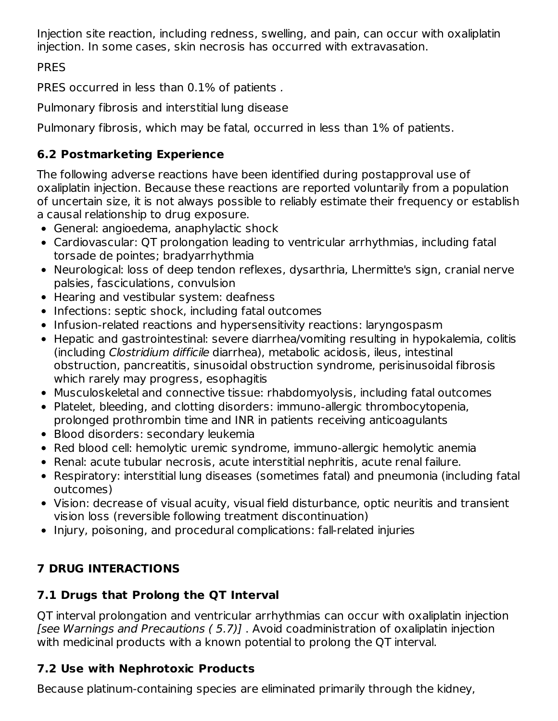Injection site reaction, including redness, swelling, and pain, can occur with oxaliplatin injection. In some cases, skin necrosis has occurred with extravasation.

PRES

PRES occurred in less than 0.1% of patients .

Pulmonary fibrosis and interstitial lung disease

Pulmonary fibrosis, which may be fatal, occurred in less than 1% of patients.

## **6.2 Postmarketing Experience**

The following adverse reactions have been identified during postapproval use of oxaliplatin injection. Because these reactions are reported voluntarily from a population of uncertain size, it is not always possible to reliably estimate their frequency or establish a causal relationship to drug exposure.

- General: angioedema, anaphylactic shock
- Cardiovascular: QT prolongation leading to ventricular arrhythmias, including fatal torsade de pointes; bradyarrhythmia
- Neurological: loss of deep tendon reflexes, dysarthria, Lhermitte's sign, cranial nerve palsies, fasciculations, convulsion
- Hearing and vestibular system: deafness
- Infections: septic shock, including fatal outcomes
- Infusion-related reactions and hypersensitivity reactions: laryngospasm
- Hepatic and gastrointestinal: severe diarrhea/vomiting resulting in hypokalemia, colitis (including Clostridium difficile diarrhea), metabolic acidosis, ileus, intestinal obstruction, pancreatitis, sinusoidal obstruction syndrome, perisinusoidal fibrosis which rarely may progress, esophagitis
- Musculoskeletal and connective tissue: rhabdomyolysis, including fatal outcomes
- Platelet, bleeding, and clotting disorders: immuno-allergic thrombocytopenia, prolonged prothrombin time and INR in patients receiving anticoagulants
- Blood disorders: secondary leukemia
- Red blood cell: hemolytic uremic syndrome, immuno-allergic hemolytic anemia
- Renal: acute tubular necrosis, acute interstitial nephritis, acute renal failure.
- Respiratory: interstitial lung diseases (sometimes fatal) and pneumonia (including fatal outcomes)
- Vision: decrease of visual acuity, visual field disturbance, optic neuritis and transient vision loss (reversible following treatment discontinuation)
- Injury, poisoning, and procedural complications: fall-related injuries

# **7 DRUG INTERACTIONS**

## **7.1 Drugs that Prolong the QT Interval**

QT interval prolongation and ventricular arrhythmias can occur with oxaliplatin injection [see Warnings and Precautions ( 5.7)] . Avoid coadministration of oxaliplatin injection with medicinal products with a known potential to prolong the QT interval.

# **7.2 Use with Nephrotoxic Products**

Because platinum-containing species are eliminated primarily through the kidney,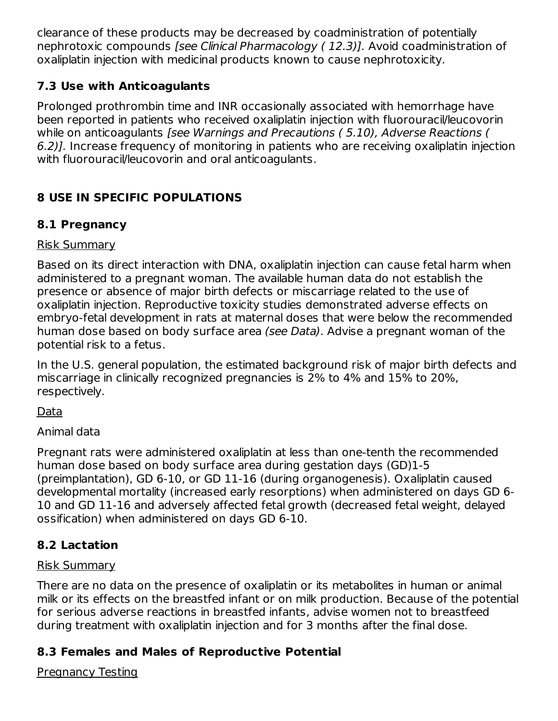clearance of these products may be decreased by coadministration of potentially nephrotoxic compounds [see Clinical Pharmacology ( 12.3)]. Avoid coadministration of oxaliplatin injection with medicinal products known to cause nephrotoxicity.

## **7.3 Use with Anticoagulants**

Prolonged prothrombin time and INR occasionally associated with hemorrhage have been reported in patients who received oxaliplatin injection with fluorouracil/leucovorin while on anticoagulants [see Warnings and Precautions (5.10), Adverse Reactions ( 6.2)]. Increase frequency of monitoring in patients who are receiving oxaliplatin injection with fluorouracil/leucovorin and oral anticoagulants.

## **8 USE IN SPECIFIC POPULATIONS**

## **8.1 Pregnancy**

## Risk Summary

Based on its direct interaction with DNA, oxaliplatin injection can cause fetal harm when administered to a pregnant woman. The available human data do not establish the presence or absence of major birth defects or miscarriage related to the use of oxaliplatin injection. Reproductive toxicity studies demonstrated adverse effects on embryo-fetal development in rats at maternal doses that were below the recommended human dose based on body surface area (see Data). Advise a pregnant woman of the potential risk to a fetus.

In the U.S. general population, the estimated background risk of major birth defects and miscarriage in clinically recognized pregnancies is 2% to 4% and 15% to 20%, respectively.

## Data

Animal data

Pregnant rats were administered oxaliplatin at less than one-tenth the recommended human dose based on body surface area during gestation days (GD)1-5 (preimplantation), GD 6-10, or GD 11-16 (during organogenesis). Oxaliplatin caused developmental mortality (increased early resorptions) when administered on days GD 6- 10 and GD 11-16 and adversely affected fetal growth (decreased fetal weight, delayed ossification) when administered on days GD 6-10.

## **8.2 Lactation**

### Risk Summary

There are no data on the presence of oxaliplatin or its metabolites in human or animal milk or its effects on the breastfed infant or on milk production. Because of the potential for serious adverse reactions in breastfed infants, advise women not to breastfeed during treatment with oxaliplatin injection and for 3 months after the final dose.

## **8.3 Females and Males of Reproductive Potential**

Pregnancy Testing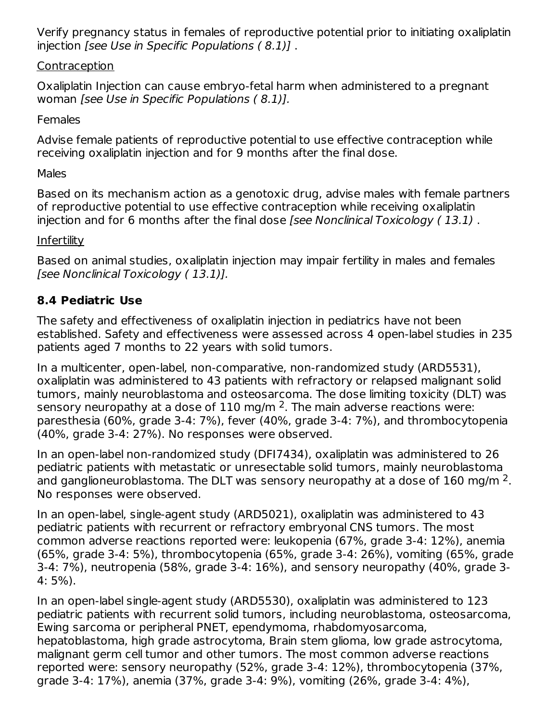Verify pregnancy status in females of reproductive potential prior to initiating oxaliplatin injection [see Use in Specific Populations ( 8.1)] .

### Contraception

Oxaliplatin Injection can cause embryo-fetal harm when administered to a pregnant woman [see Use in Specific Populations ( 8.1)].

### **Females**

Advise female patients of reproductive potential to use effective contraception while receiving oxaliplatin injection and for 9 months after the final dose.

### Males

Based on its mechanism action as a genotoxic drug, advise males with female partners of reproductive potential to use effective contraception while receiving oxaliplatin injection and for 6 months after the final dose [see Nonclinical Toxicology ( 13.1) .

### **Infertility**

Based on animal studies, oxaliplatin injection may impair fertility in males and females [see Nonclinical Toxicology ( 13.1)].

## **8.4 Pediatric Use**

The safety and effectiveness of oxaliplatin injection in pediatrics have not been established. Safety and effectiveness were assessed across 4 open-label studies in 235 patients aged 7 months to 22 years with solid tumors.

In a multicenter, open-label, non-comparative, non-randomized study (ARD5531), oxaliplatin was administered to 43 patients with refractory or relapsed malignant solid tumors, mainly neuroblastoma and osteosarcoma. The dose limiting toxicity (DLT) was sensory neuropathy at a dose of  $110$  mg/m <sup>2</sup>. The main adverse reactions were: paresthesia (60%, grade 3-4: 7%), fever (40%, grade 3-4: 7%), and thrombocytopenia (40%, grade 3-4: 27%). No responses were observed.

In an open-label non-randomized study (DFI7434), oxaliplatin was administered to 26 pediatric patients with metastatic or unresectable solid tumors, mainly neuroblastoma and ganglioneuroblastoma. The DLT was sensory neuropathy at a dose of 160 mg/m  $^2$ . No responses were observed.

In an open-label, single-agent study (ARD5021), oxaliplatin was administered to 43 pediatric patients with recurrent or refractory embryonal CNS tumors. The most common adverse reactions reported were: leukopenia (67%, grade 3-4: 12%), anemia (65%, grade 3-4: 5%), thrombocytopenia (65%, grade 3-4: 26%), vomiting (65%, grade 3-4: 7%), neutropenia (58%, grade 3-4: 16%), and sensory neuropathy (40%, grade 3- 4: 5%).

In an open-label single-agent study (ARD5530), oxaliplatin was administered to 123 pediatric patients with recurrent solid tumors, including neuroblastoma, osteosarcoma, Ewing sarcoma or peripheral PNET, ependymoma, rhabdomyosarcoma, hepatoblastoma, high grade astrocytoma, Brain stem glioma, low grade astrocytoma, malignant germ cell tumor and other tumors. The most common adverse reactions reported were: sensory neuropathy (52%, grade 3-4: 12%), thrombocytopenia (37%, grade 3-4: 17%), anemia (37%, grade 3-4: 9%), vomiting (26%, grade 3-4: 4%),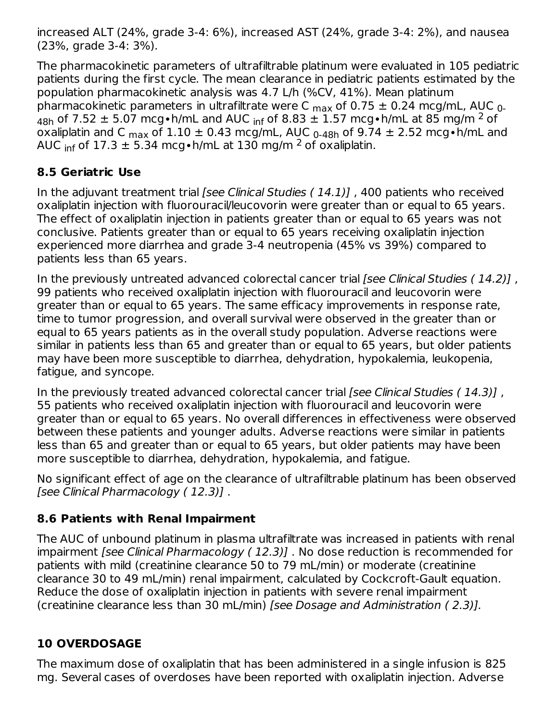increased ALT (24%, grade 3-4: 6%), increased AST (24%, grade 3-4: 2%), and nausea (23%, grade 3-4: 3%).

The pharmacokinetic parameters of ultrafiltrable platinum were evaluated in 105 pediatric patients during the first cycle. The mean clearance in pediatric patients estimated by the population pharmacokinetic analysis was 4.7 L/h (%CV, 41%). Mean platinum pharmacokinetic parameters in ultrafiltrate were C  $_{\sf max}$  of 0.75  $\pm$  0.24 mcg/mL, AUC  $_{\sf 0}$ .  $_{48\text{h}}$  of 7.52  $\pm$  5.07 mcg∙h/mL and AUC <sub>inf</sub> of 8.83  $\pm$  1.57 mcg∙h/mL at 85 mg/m <sup>2</sup> of oxaliplatin and C  $_{\sf max}$  of  $1.10$   $\pm$  0.43 mcg/mL, AUC  $_{\sf 0\text{-}48h}$  of 9.74  $\pm$  2.52 mcg•h/mL and AUC <sub>inf</sub> of 17.3 ± 5.34 mcg•h/mL at 130 mg/m <sup>2</sup> of oxaliplatin.

## **8.5 Geriatric Use**

In the adjuvant treatment trial [see Clinical Studies  $(14.1)$ ], 400 patients who received oxaliplatin injection with fluorouracil/leucovorin were greater than or equal to 65 years. The effect of oxaliplatin injection in patients greater than or equal to 65 years was not conclusive. Patients greater than or equal to 65 years receiving oxaliplatin injection experienced more diarrhea and grade 3-4 neutropenia (45% vs 39%) compared to patients less than 65 years.

In the previously untreated advanced colorectal cancer trial [see Clinical Studies (14.2)], 99 patients who received oxaliplatin injection with fluorouracil and leucovorin were greater than or equal to 65 years. The same efficacy improvements in response rate, time to tumor progression, and overall survival were observed in the greater than or equal to 65 years patients as in the overall study population. Adverse reactions were similar in patients less than 65 and greater than or equal to 65 years, but older patients may have been more susceptible to diarrhea, dehydration, hypokalemia, leukopenia, fatigue, and syncope.

In the previously treated advanced colorectal cancer trial [see Clinical Studies (14.3)], 55 patients who received oxaliplatin injection with fluorouracil and leucovorin were greater than or equal to 65 years. No overall differences in effectiveness were observed between these patients and younger adults. Adverse reactions were similar in patients less than 65 and greater than or equal to 65 years, but older patients may have been more susceptible to diarrhea, dehydration, hypokalemia, and fatigue.

No significant effect of age on the clearance of ultrafiltrable platinum has been observed [see Clinical Pharmacology ( 12.3)] .

## **8.6 Patients with Renal Impairment**

The AUC of unbound platinum in plasma ultrafiltrate was increased in patients with renal impairment [see Clinical Pharmacology ( 12.3)] . No dose reduction is recommended for patients with mild (creatinine clearance 50 to 79 mL/min) or moderate (creatinine clearance 30 to 49 mL/min) renal impairment, calculated by Cockcroft-Gault equation. Reduce the dose of oxaliplatin injection in patients with severe renal impairment (creatinine clearance less than 30 mL/min) [see Dosage and Administration ( 2.3)].

## **10 OVERDOSAGE**

The maximum dose of oxaliplatin that has been administered in a single infusion is 825 mg. Several cases of overdoses have been reported with oxaliplatin injection. Adverse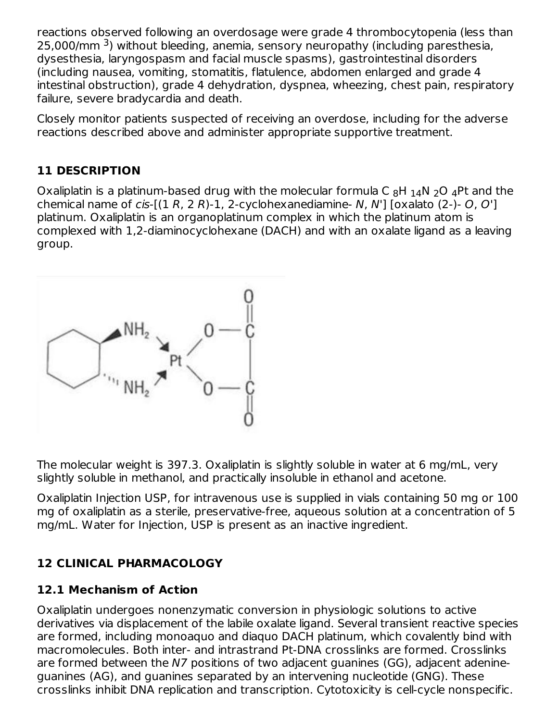reactions observed following an overdosage were grade 4 thrombocytopenia (less than 25,000/mm <sup>3</sup>) without bleeding, anemia, sensory neuropathy (including paresthesia, dysesthesia, laryngospasm and facial muscle spasms), gastrointestinal disorders (including nausea, vomiting, stomatitis, flatulence, abdomen enlarged and grade 4 intestinal obstruction), grade 4 dehydration, dyspnea, wheezing, chest pain, respiratory failure, severe bradycardia and death.

Closely monitor patients suspected of receiving an overdose, including for the adverse reactions described above and administer appropriate supportive treatment.

## **11 DESCRIPTION**

Oxaliplatin is a platinum-based drug with the molecular formula C  $_8$ H  $_{\rm 14}$ N  $_2$ O  $_4$ Pt and the chemical name of cis- $[(1 R, 2 R)-1, 2-cyclohexanediamine- N, N']$  [oxalato  $(2-)$ - O, O'] platinum. Oxaliplatin is an organoplatinum complex in which the platinum atom is complexed with 1,2-diaminocyclohexane (DACH) and with an oxalate ligand as a leaving group.



The molecular weight is 397.3. Oxaliplatin is slightly soluble in water at 6 mg/mL, very slightly soluble in methanol, and practically insoluble in ethanol and acetone.

Oxaliplatin Injection USP, for intravenous use is supplied in vials containing 50 mg or 100 mg of oxaliplatin as a sterile, preservative-free, aqueous solution at a concentration of 5 mg/mL. Water for Injection, USP is present as an inactive ingredient.

## **12 CLINICAL PHARMACOLOGY**

### **12.1 Mechanism of Action**

Oxaliplatin undergoes nonenzymatic conversion in physiologic solutions to active derivatives via displacement of the labile oxalate ligand. Several transient reactive species are formed, including monoaquo and diaquo DACH platinum, which covalently bind with macromolecules. Both inter- and intrastrand Pt-DNA crosslinks are formed. Crosslinks are formed between the N7 positions of two adjacent guanines (GG), adjacent adenineguanines (AG), and guanines separated by an intervening nucleotide (GNG). These crosslinks inhibit DNA replication and transcription. Cytotoxicity is cell-cycle nonspecific.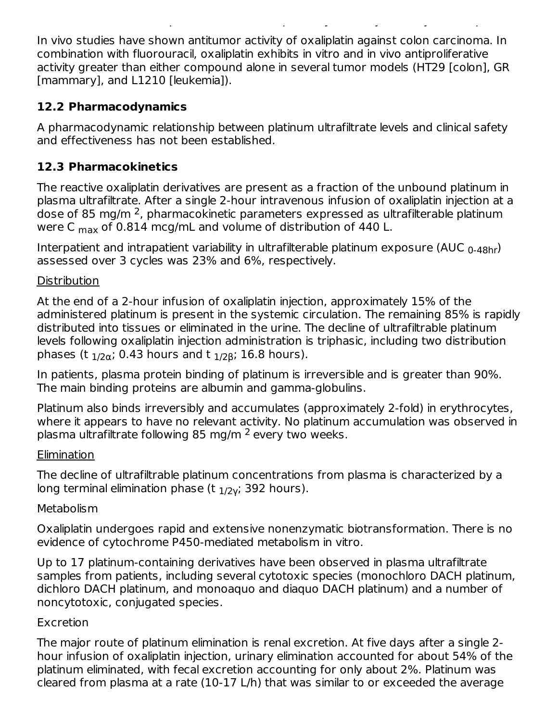In vivo studies have shown antitumor activity of oxaliplatin against colon carcinoma. In combination with fluorouracil, oxaliplatin exhibits in vitro and in vivo antiproliferative activity greater than either compound alone in several tumor models (HT29 [colon], GR [mammary], and L1210 [leukemia]).

crosslinks inhibit DNA replication and transcription. Cytotoxicity is cell-cycle nonspecific.

## **12.2 Pharmacodynamics**

A pharmacodynamic relationship between platinum ultrafiltrate levels and clinical safety and effectiveness has not been established.

## **12.3 Pharmacokinetics**

The reactive oxaliplatin derivatives are present as a fraction of the unbound platinum in plasma ultrafiltrate. After a single 2-hour intravenous infusion of oxaliplatin injection at a dose of 85 mg/m  $^2$ , pharmacokinetic parameters expressed as ultrafilterable platinum were C <sub>max</sub> of 0.814 mcg/mL and volume of distribution of 440 L.

Interpatient and intrapatient variability in ultrafilterable platinum exposure (AUC  $_{\rm 0\text{-}48hr}$ ) assessed over 3 cycles was 23% and 6%, respectively.

### **Distribution**

At the end of a 2-hour infusion of oxaliplatin injection, approximately 15% of the administered platinum is present in the systemic circulation. The remaining 85% is rapidly distributed into tissues or eliminated in the urine. The decline of ultrafiltrable platinum levels following oxaliplatin injection administration is triphasic, including two distribution phases (t  $_{\rm 1/2\alpha}$ ; 0.43 hours and t  $_{\rm 1/2\beta}$ ; 16.8 hours).

In patients, plasma protein binding of platinum is irreversible and is greater than 90%. The main binding proteins are albumin and gamma-globulins.

Platinum also binds irreversibly and accumulates (approximately 2-fold) in erythrocytes, where it appears to have no relevant activity. No platinum accumulation was observed in plasma ultrafiltrate following 85 mg/m <sup>2</sup> every two weeks.

### **Elimination**

The decline of ultrafiltrable platinum concentrations from plasma is characterized by a long terminal elimination phase (t  $_{\rm 1/2}$ γ; 392 hours).

### **Metabolism**

Oxaliplatin undergoes rapid and extensive nonenzymatic biotransformation. There is no evidence of cytochrome P450-mediated metabolism in vitro.

Up to 17 platinum-containing derivatives have been observed in plasma ultrafiltrate samples from patients, including several cytotoxic species (monochloro DACH platinum, dichloro DACH platinum, and monoaquo and diaquo DACH platinum) and a number of noncytotoxic, conjugated species.

### Excretion

The major route of platinum elimination is renal excretion. At five days after a single 2 hour infusion of oxaliplatin injection, urinary elimination accounted for about 54% of the platinum eliminated, with fecal excretion accounting for only about 2%. Platinum was cleared from plasma at a rate (10-17 L/h) that was similar to or exceeded the average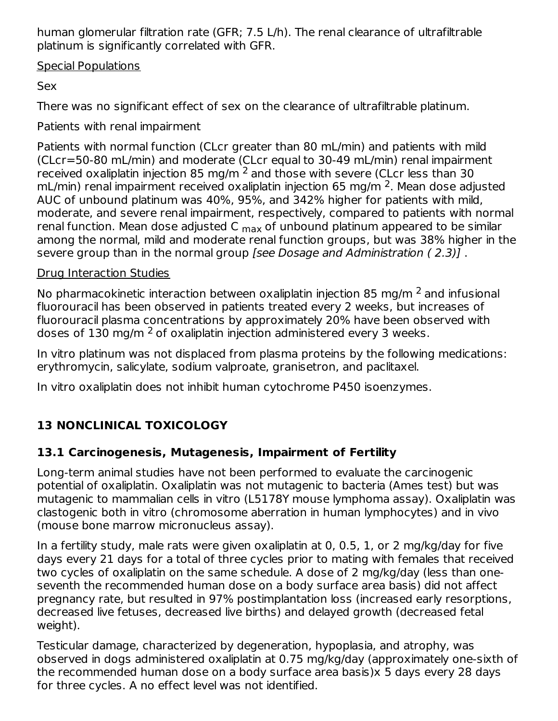human glomerular filtration rate (GFR; 7.5 L/h). The renal clearance of ultrafiltrable platinum is significantly correlated with GFR.

Special Populations

Sex

There was no significant effect of sex on the clearance of ultrafiltrable platinum.

Patients with renal impairment

Patients with normal function (CLcr greater than 80 mL/min) and patients with mild (CLcr=50-80 mL/min) and moderate (CLcr equal to 30-49 mL/min) renal impairment received oxaliplatin injection 85 mg/m  $^2$  and those with severe (CLcr less than 30  $\,$ mL/min) renal impairment received oxaliplatin injection 65 mg/m  $^2$ . Mean dose adjusted AUC of unbound platinum was 40%, 95%, and 342% higher for patients with mild, moderate, and severe renal impairment, respectively, compared to patients with normal renal function. Mean dose adjusted C <sub>max</sub> of unbound platinum appeared to be similar among the normal, mild and moderate renal function groups, but was 38% higher in the severe group than in the normal group [see Dosage and Administration (2.3)].

## Drug Interaction Studies

No pharmacokinetic interaction between oxaliplatin injection 85 mg/m  $^2$  and infusional fluorouracil has been observed in patients treated every 2 weeks, but increases of fluorouracil plasma concentrations by approximately 20% have been observed with doses of 130 mg/m  $2$  of oxaliplatin injection administered every 3 weeks.

In vitro platinum was not displaced from plasma proteins by the following medications: erythromycin, salicylate, sodium valproate, granisetron, and paclitaxel.

In vitro oxaliplatin does not inhibit human cytochrome P450 isoenzymes.

# **13 NONCLINICAL TOXICOLOGY**

## **13.1 Carcinogenesis, Mutagenesis, Impairment of Fertility**

Long-term animal studies have not been performed to evaluate the carcinogenic potential of oxaliplatin. Oxaliplatin was not mutagenic to bacteria (Ames test) but was mutagenic to mammalian cells in vitro (L5178Y mouse lymphoma assay). Oxaliplatin was clastogenic both in vitro (chromosome aberration in human lymphocytes) and in vivo (mouse bone marrow micronucleus assay).

In a fertility study, male rats were given oxaliplatin at 0, 0.5, 1, or 2 mg/kg/day for five days every 21 days for a total of three cycles prior to mating with females that received two cycles of oxaliplatin on the same schedule. A dose of 2 mg/kg/day (less than oneseventh the recommended human dose on a body surface area basis) did not affect pregnancy rate, but resulted in 97% postimplantation loss (increased early resorptions, decreased live fetuses, decreased live births) and delayed growth (decreased fetal weight).

Testicular damage, characterized by degeneration, hypoplasia, and atrophy, was observed in dogs administered oxaliplatin at 0.75 mg/kg/day (approximately one-sixth of the recommended human dose on a body surface area basis)x 5 days every 28 days for three cycles. A no effect level was not identified.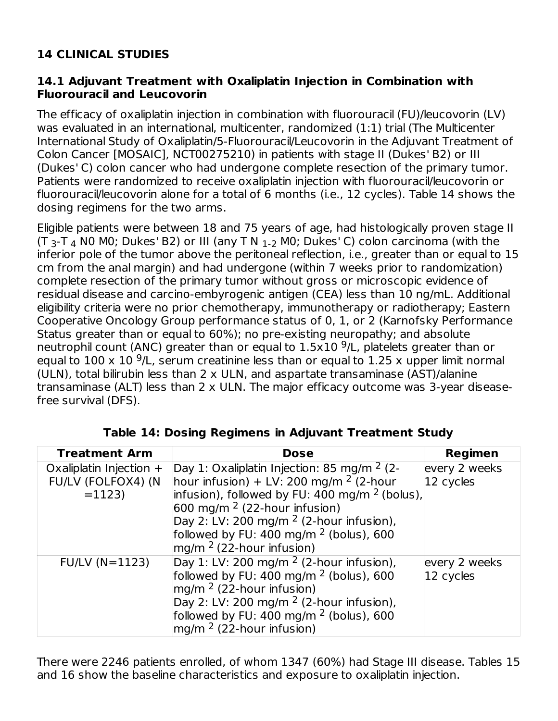## **14 CLINICAL STUDIES**

### **14.1 Adjuvant Treatment with Oxaliplatin Injection in Combination with Fluorouracil and Leucovorin**

The efficacy of oxaliplatin injection in combination with fluorouracil (FU)/leucovorin (LV) was evaluated in an international, multicenter, randomized (1:1) trial (The Multicenter International Study of Oxaliplatin/5-Fluorouracil/Leucovorin in the Adjuvant Treatment of Colon Cancer [MOSAIC], NCT00275210) in patients with stage II (Dukes' B2) or III (Dukes' C) colon cancer who had undergone complete resection of the primary tumor. Patients were randomized to receive oxaliplatin injection with fluorouracil/leucovorin or fluorouracil/leucovorin alone for a total of 6 months (i.e., 12 cycles). Table 14 shows the dosing regimens for the two arms.

Eligible patients were between 18 and 75 years of age, had histologically proven stage II (T <sub>3</sub>-T <sub>4</sub> N0 M0; Dukes' B2) or III (any T N  $_{\rm 1-2}$  M0; Dukes' C) colon carcinoma (with the inferior pole of the tumor above the peritoneal reflection, i.e., greater than or equal to 15 cm from the anal margin) and had undergone (within 7 weeks prior to randomization) complete resection of the primary tumor without gross or microscopic evidence of residual disease and carcino-embyrogenic antigen (CEA) less than 10 ng/mL. Additional eligibility criteria were no prior chemotherapy, immunotherapy or radiotherapy; Eastern Cooperative Oncology Group performance status of 0, 1, or 2 (Karnofsky Performance Status greater than or equal to 60%); no pre-existing neuropathy; and absolute neutrophil count (ANC) greater than or equal to  $1.5 \times 10^{-9}$ /L, platelets greater than or equal to  $100 \times 10^{-9}$ /L, serum creatinine less than or equal to  $1.25 \times$  upper limit normal (ULN), total bilirubin less than 2 x ULN, and aspartate transaminase (AST)/alanine transaminase (ALT) less than 2 x ULN. The major efficacy outcome was 3-year diseasefree survival (DFS).

| <b>Treatment Arm</b>      | <b>Dose</b>                                          | <b>Regimen</b> |
|---------------------------|------------------------------------------------------|----------------|
| Oxaliplatin Injection $+$ | Day 1: Oxaliplatin Injection: 85 mg/m $2$ (2-        | every 2 weeks  |
| FU/LV (FOLFOX4) (N        | hour infusion) + LV: 200 mg/m $2$ (2-hour            | 12 cycles      |
| $=1123$                   | $ $ infusion), followed by FU: 400 mg/m $2$ (bolus), |                |
|                           | $600$ mg/m $^2$ (22-hour infusion)                   |                |
|                           | Day 2: LV: 200 mg/m $2$ (2-hour infusion),           |                |
|                           | followed by FU: 400 mg/m $^2$ (bolus), 600           |                |
|                           | $mg/m2$ (22-hour infusion)                           |                |
| $FU/LV (N=1123)$          | Day 1: LV: 200 mg/m $^2$ (2-hour infusion),          | every 2 weeks  |
|                           | followed by FU: $400 \text{ mg/m}^2$ (bolus), 600    | 12 cycles      |
|                           | $mg/m2$ (22-hour infusion)                           |                |
|                           | Day 2: LV: 200 mg/m $2$ (2-hour infusion),           |                |
|                           | followed by FU: 400 mg/m $2$ (bolus), 600            |                |
|                           | $mg/m2$ (22-hour infusion)                           |                |

**Table 14: Dosing Regimens in Adjuvant Treatment Study**

There were 2246 patients enrolled, of whom 1347 (60%) had Stage III disease. Tables 15 and 16 show the baseline characteristics and exposure to oxaliplatin injection.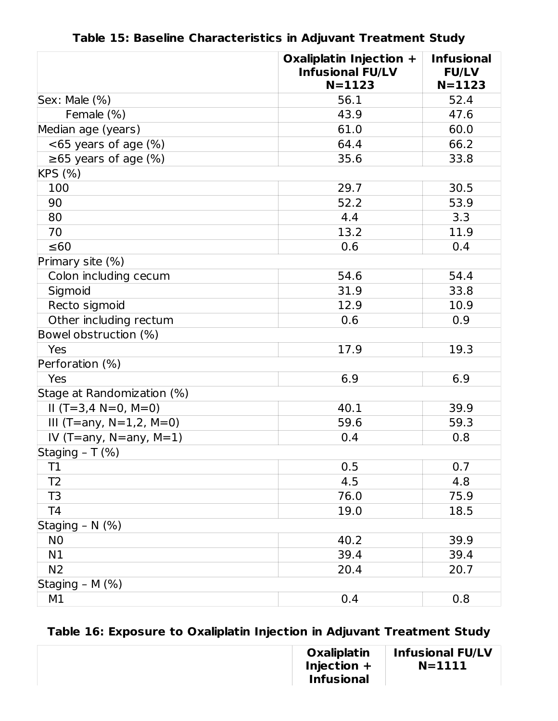|                               | Oxaliplatin Injection +<br><b>Infusional FU/LV</b><br>$N = 1123$ | <b>Infusional</b><br><b>FU/LV</b><br>$N = 1123$ |
|-------------------------------|------------------------------------------------------------------|-------------------------------------------------|
| Sex: Male (%)                 | 56.1                                                             | 52.4                                            |
| Female (%)                    | 43.9                                                             | 47.6                                            |
| Median age (years)            | 61.0                                                             | 60.0                                            |
| $<$ 65 years of age $(\%)$    | 64.4                                                             | 66.2                                            |
| $\geq 65$ years of age (%)    | 35.6                                                             | 33.8                                            |
| KPS (%)                       |                                                                  |                                                 |
| 100                           | 29.7                                                             | 30.5                                            |
| 90                            | 52.2                                                             | 53.9                                            |
| 80                            | 4.4                                                              | 3.3                                             |
| 70                            | 13.2                                                             | 11.9                                            |
| $\leq 60$                     | 0.6                                                              | 0.4                                             |
| Primary site (%)              |                                                                  |                                                 |
| Colon including cecum         | 54.6                                                             | 54.4                                            |
| Sigmoid                       | 31.9                                                             | 33.8                                            |
| Recto sigmoid                 | 12.9                                                             | 10.9                                            |
| Other including rectum        | 0.6                                                              | 0.9                                             |
| Bowel obstruction (%)         |                                                                  |                                                 |
| Yes                           | 17.9                                                             | 19.3                                            |
| Perforation (%)               |                                                                  |                                                 |
| Yes                           | 6.9                                                              | 6.9                                             |
| Stage at Randomization (%)    |                                                                  |                                                 |
| $II(T=3,4 N=0, M=0)$          | 40.1                                                             | 39.9                                            |
| III (T=any, $N=1,2$ , $M=0$ ) | 59.6                                                             | 59.3                                            |
| IV (T=any, $N=$ any, $M=1$ )  | 0.4                                                              | 0.8                                             |
| Staging - T (%)               |                                                                  |                                                 |
| T1                            | 0.5                                                              | 0.7                                             |
| T <sub>2</sub>                | 4.5                                                              | 4.8                                             |
| T <sub>3</sub>                | 76.0                                                             | 75.9                                            |
| T <sub>4</sub>                | 19.0                                                             | 18.5                                            |
| Staging $-\overline{N(%)}$    |                                                                  |                                                 |
| N <sub>0</sub>                | 40.2                                                             | 39.9                                            |
| N1                            | 39.4                                                             | 39.4                                            |
| N <sub>2</sub>                | 20.4                                                             | 20.7                                            |
| Staging - M (%)               |                                                                  |                                                 |
| M1                            | 0.4                                                              | 0.8                                             |

**Table 15: Baseline Characteristics in Adjuvant Treatment Study**

# **Table 16: Exposure to Oxaliplatin Injection in Adjuvant Treatment Study**

| Oxaliplatin       | <b>Infusional FU/LV</b> |
|-------------------|-------------------------|
| Injection $+$     | $N=1111$                |
| <b>Infusional</b> |                         |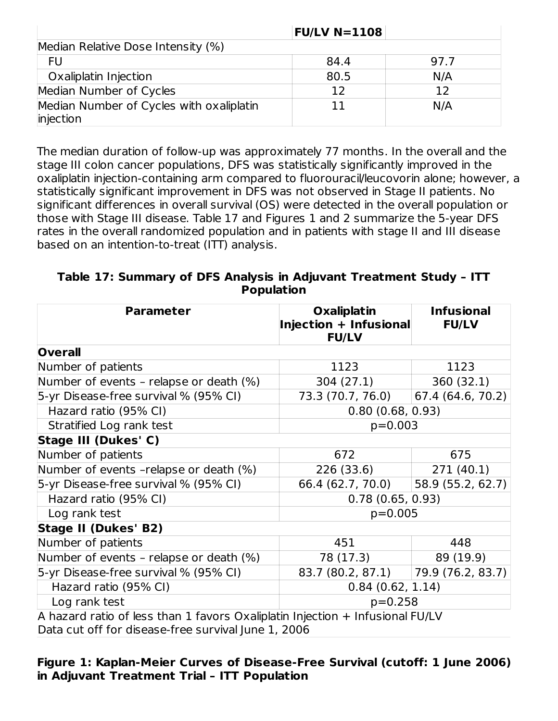|                                                       | <b>FU/LV N=1108</b> |      |
|-------------------------------------------------------|---------------------|------|
| Median Relative Dose Intensity (%)                    |                     |      |
| <b>FU</b>                                             | 84.4                | 97.7 |
| Oxaliplatin Injection                                 | 80.5                | N/A  |
| Median Number of Cycles                               | 12                  | 12   |
| Median Number of Cycles with oxaliplatin<br>injection | 11                  | N/A  |

The median duration of follow-up was approximately 77 months. In the overall and the stage III colon cancer populations, DFS was statistically significantly improved in the oxaliplatin injection-containing arm compared to fluorouracil/leucovorin alone; however, a statistically significant improvement in DFS was not observed in Stage II patients. No significant differences in overall survival (OS) were detected in the overall population or those with Stage III disease. Table 17 and Figures 1 and 2 summarize the 5-year DFS rates in the overall randomized population and in patients with stage II and III disease based on an intention-to-treat (ITT) analysis.

### **Table 17: Summary of DFS Analysis in Adjuvant Treatment Study – ITT Population**

| <b>Parameter</b>                                                                                                                     | <b>Oxaliplatin</b><br>Injection + Infusional<br><b>FU/LV</b> | <b>Infusional</b><br><b>FU/LV</b> |
|--------------------------------------------------------------------------------------------------------------------------------------|--------------------------------------------------------------|-----------------------------------|
| <b>Overall</b>                                                                                                                       |                                                              |                                   |
| Number of patients                                                                                                                   | 1123                                                         | 1123                              |
| Number of events - relapse or death (%)                                                                                              | 304 (27.1)                                                   | 360(32.1)                         |
| 5-yr Disease-free survival % (95% CI)                                                                                                | 73.3 (70.7, 76.0)                                            | 67.4 (64.6, 70.2)                 |
| Hazard ratio (95% CI)                                                                                                                | 0.80(0.68, 0.93)                                             |                                   |
| Stratified Log rank test                                                                                                             | $p=0.003$                                                    |                                   |
| Stage III (Dukes' C)                                                                                                                 |                                                              |                                   |
| Number of patients                                                                                                                   | 672                                                          | 675                               |
| Number of events -relapse or death (%)                                                                                               | 226 (33.6)                                                   | 271(40.1)                         |
| 5-yr Disease-free survival % (95% CI)                                                                                                | 66.4 (62.7, 70.0)                                            | 58.9 (55.2, 62.7)                 |
| Hazard ratio (95% CI)                                                                                                                | 0.78(0.65, 0.93)                                             |                                   |
| Log rank test                                                                                                                        | $p=0.005$                                                    |                                   |
| <b>Stage II (Dukes' B2)</b>                                                                                                          |                                                              |                                   |
| Number of patients                                                                                                                   | 451                                                          | 448                               |
| Number of events - relapse or death (%)                                                                                              | 78 (17.3)                                                    | 89 (19.9)                         |
| 5-yr Disease-free survival % (95% CI)                                                                                                | 83.7 (80.2, 87.1)                                            | 79.9 (76.2, 83.7)                 |
| Hazard ratio (95% CI)                                                                                                                | 0.84(0.62, 1.14)                                             |                                   |
| Log rank test<br>$p=0.258$                                                                                                           |                                                              |                                   |
| A hazard ratio of less than 1 favors Oxaliplatin Injection + Infusional FU/LV<br>Data cut off for disoaso frog survival lung 1, 2006 |                                                              |                                   |

Data cut off for disease-free survival June 1, 2006

### **Figure 1: Kaplan-Meier Curves of Disease-Free Survival (cutoff: 1 June 2006) in Adjuvant Treatment Trial – ITT Population**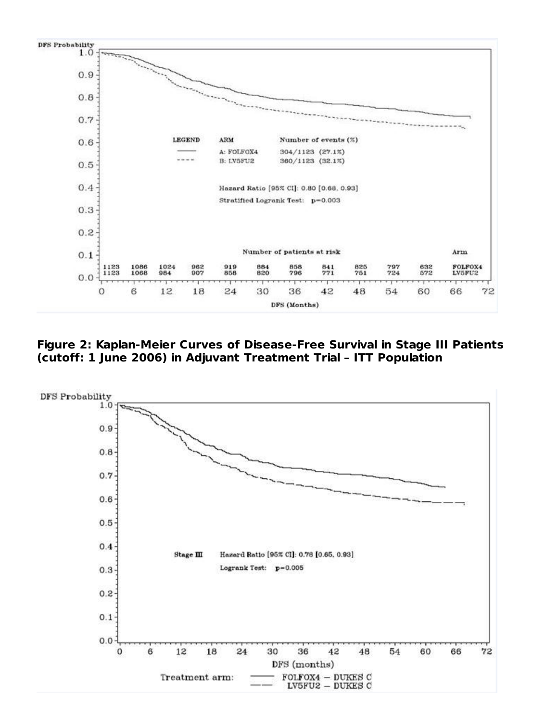

**Figure 2: Kaplan-Meier Curves of Disease-Free Survival in Stage III Patients (cutoff: 1 June 2006) in Adjuvant Treatment Trial – ITT Population**

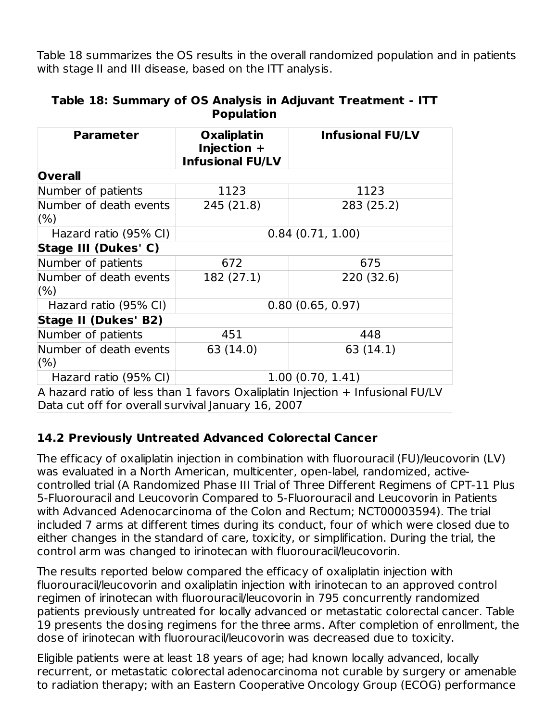Table 18 summarizes the OS results in the overall randomized population and in patients with stage II and III disease, based on the ITT analysis.

| <b>Parameter</b>                  | <b>Oxaliplatin</b><br>Injection +<br><b>Infusional FU/LV</b> | <b>Infusional FU/LV</b> |
|-----------------------------------|--------------------------------------------------------------|-------------------------|
| <b>Overall</b>                    |                                                              |                         |
| Number of patients                | 1123                                                         | 1123                    |
| Number of death events<br>(% )    | 245 (21.8)                                                   | 283 (25.2)              |
| Hazard ratio (95% CI)             | 0.84(0.71, 1.00)                                             |                         |
| Stage III (Dukes' C)              |                                                              |                         |
| Number of patients                | 672                                                          | 675                     |
| Number of death events<br>(% )    | 182 (27.1)                                                   | 220 (32.6)              |
| Hazard ratio (95% CI)             |                                                              | 0.80(0.65, 0.97)        |
| Stage II (Dukes' B2)              |                                                              |                         |
| Number of patients                | 451                                                          | 448                     |
| Number of death events<br>$(\% )$ | 63 (14.0)                                                    | 63 (14.1)               |
| Hazard ratio (95% CI)             | 1.00(0.70, 1.41)                                             |                         |

#### **Table 18: Summary of OS Analysis in Adjuvant Treatment - ITT Population**

A hazard ratio of less than 1 favors Oxaliplatin Injection + Infusional FU/LV Data cut off for overall survival January 16, 2007

### **14.2 Previously Untreated Advanced Colorectal Cancer**

The efficacy of oxaliplatin injection in combination with fluorouracil (FU)/leucovorin (LV) was evaluated in a North American, multicenter, open-label, randomized, activecontrolled trial (A Randomized Phase III Trial of Three Different Regimens of CPT-11 Plus 5-Fluorouracil and Leucovorin Compared to 5-Fluorouracil and Leucovorin in Patients with Advanced Adenocarcinoma of the Colon and Rectum; NCT00003594). The trial included 7 arms at different times during its conduct, four of which were closed due to either changes in the standard of care, toxicity, or simplification. During the trial, the control arm was changed to irinotecan with fluorouracil/leucovorin.

The results reported below compared the efficacy of oxaliplatin injection with fluorouracil/leucovorin and oxaliplatin injection with irinotecan to an approved control regimen of irinotecan with fluorouracil/leucovorin in 795 concurrently randomized patients previously untreated for locally advanced or metastatic colorectal cancer. Table 19 presents the dosing regimens for the three arms. After completion of enrollment, the dose of irinotecan with fluorouracil/leucovorin was decreased due to toxicity.

Eligible patients were at least 18 years of age; had known locally advanced, locally recurrent, or metastatic colorectal adenocarcinoma not curable by surgery or amenable to radiation therapy; with an Eastern Cooperative Oncology Group (ECOG) performance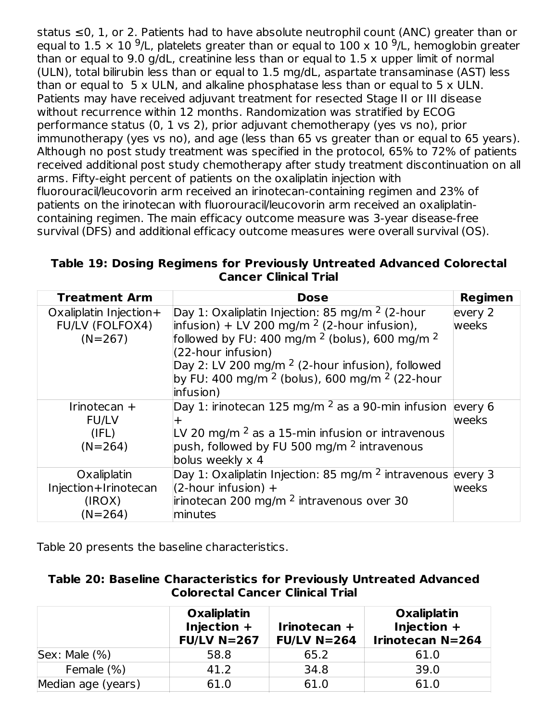status ≤0, 1, or 2. Patients had to have absolute neutrophil count (ANC) greater than or equal to 1.5  $\times$  10 <sup>9</sup>/L, platelets greater than or equal to 100 x 10 <sup>9</sup>/L, hemoglobin greater than or equal to 9.0 g/dL, creatinine less than or equal to 1.5 x upper limit of normal (ULN), total bilirubin less than or equal to 1.5 mg/dL, aspartate transaminase (AST) less than or equal to 5 x ULN, and alkaline phosphatase less than or equal to 5 x ULN. Patients may have received adjuvant treatment for resected Stage II or III disease without recurrence within 12 months. Randomization was stratified by ECOG performance status (0, 1 vs 2), prior adjuvant chemotherapy (yes vs no), prior immunotherapy (yes vs no), and age (less than 65 vs greater than or equal to 65 years). Although no post study treatment was specified in the protocol, 65% to 72% of patients received additional post study chemotherapy after study treatment discontinuation on all arms. Fifty-eight percent of patients on the oxaliplatin injection with fluorouracil/leucovorin arm received an irinotecan-containing regimen and 23% of patients on the irinotecan with fluorouracil/leucovorin arm received an oxaliplatincontaining regimen. The main efficacy outcome measure was 3-year disease-free survival (DFS) and additional efficacy outcome measures were overall survival (OS).

| Table 19: Dosing Regimens for Previously Untreated Advanced Colorectal |  |
|------------------------------------------------------------------------|--|
| <b>Cancer Clinical Trial</b>                                           |  |

| <b>Treatment Arm</b>   | <b>Dose</b>                                                          | <b>Regimen</b> |
|------------------------|----------------------------------------------------------------------|----------------|
| Oxaliplatin Injection+ | Day 1: Oxaliplatin Injection: 85 mg/m $2$ (2-hour                    | every 2        |
| <b>FU/LV (FOLFOX4)</b> | $\vert$ infusion) + LV 200 mg/m <sup>2</sup> (2-hour infusion),      | weeks          |
| $(N=267)$              | followed by FU: 400 mg/m $^2$ (bolus), 600 mg/m $^2$                 |                |
|                        | (22-hour infusion)                                                   |                |
|                        | Day 2: LV 200 mg/m <sup>2</sup> (2-hour infusion), followed          |                |
|                        | by FU: 400 mg/m <sup>2</sup> (bolus), 600 mg/m <sup>2</sup> (22-hour |                |
|                        | infusion)                                                            |                |
| Irinotecan $+$         | Day 1: irinotecan 125 mg/m $^2$ as a 90-min infusion                 | levery $6$     |
| <b>FU/LV</b>           | $\pm$                                                                | weeks          |
| (IFL)                  | LV 20 mg/m $^2$ as a 15-min infusion or intravenous                  |                |
| $(N=264)$              | push, followed by FU 500 mg/m <sup>2</sup> intravenous               |                |
|                        | bolus weekly x 4                                                     |                |
| Oxaliplatin            | Day 1: Oxaliplatin Injection: 85 mg/m $^2$ intravenous every 3       |                |
| Injection+Irinotecan   | $(2$ -hour infusion) +                                               | weeks          |
| (IROX)                 | irinotecan 200 mg/m <sup>2</sup> intravenous over 30                 |                |
| $(N=264)$              | minutes                                                              |                |

Table 20 presents the baseline characteristics.

| Table 20: Baseline Characteristics for Previously Untreated Advanced |                                         |  |
|----------------------------------------------------------------------|-----------------------------------------|--|
|                                                                      | <b>Colorectal Cancer Clinical Trial</b> |  |

| Table 20: Baseline Characteristics for Previously Untreated Advanced |
|----------------------------------------------------------------------|
| <b>Colorectal Cancer Clinical Trial</b>                              |
|                                                                      |

|                    | <b>Oxaliplatin</b><br>Injection $+$<br>$FU/LV$ N=267 | Irinotecan +<br>$FUVN=264$ | <b>Oxaliplatin</b><br>Injection +<br><b>Irinotecan N=264</b> |
|--------------------|------------------------------------------------------|----------------------------|--------------------------------------------------------------|
| Sex: Male (%)      | 58.8                                                 | 65.2                       | 61.0                                                         |
| Female (%)         | 41.2                                                 | 34.8                       | 39.0                                                         |
| Median age (years) | 61.0                                                 | 61.0                       | 61.0                                                         |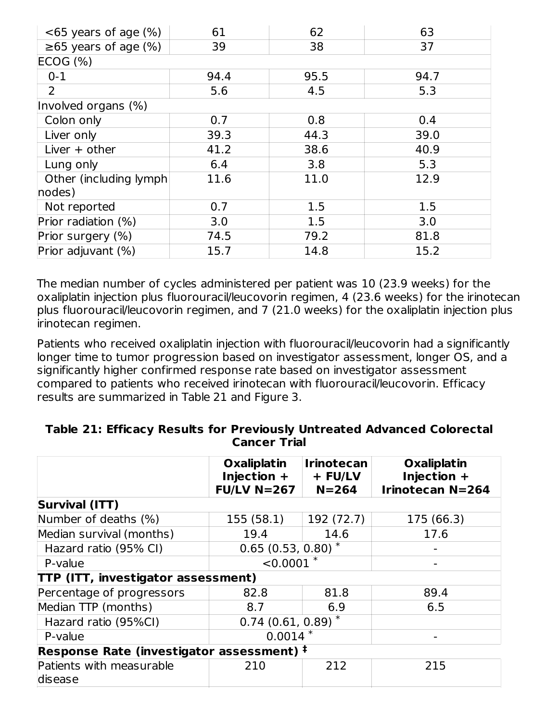| $<65$ years of age $(\%)$  | 61   | 62   | 63   |
|----------------------------|------|------|------|
| $\geq 65$ years of age (%) | 39   | 38   | 37   |
| ECOG (%)                   |      |      |      |
| $0 - 1$                    | 94.4 | 95.5 | 94.7 |
| $\overline{2}$             | 5.6  | 4.5  | 5.3  |
| Involved organs (%)        |      |      |      |
| Colon only                 | 0.7  | 0.8  | 0.4  |
| Liver only                 | 39.3 | 44.3 | 39.0 |
| Liver $+$ other            | 41.2 | 38.6 | 40.9 |
| Lung only                  | 6.4  | 3.8  | 5.3  |
| Other (including lymph)    | 11.6 | 11.0 | 12.9 |
| nodes)                     |      |      |      |
| Not reported               | 0.7  | 1.5  | 1.5  |
| Prior radiation (%)        | 3.0  | 1.5  | 3.0  |
| Prior surgery (%)          | 74.5 | 79.2 | 81.8 |
| Prior adjuvant (%)         | 15.7 | 14.8 | 15.2 |

The median number of cycles administered per patient was 10 (23.9 weeks) for the oxaliplatin injection plus fluorouracil/leucovorin regimen, 4 (23.6 weeks) for the irinotecan plus fluorouracil/leucovorin regimen, and 7 (21.0 weeks) for the oxaliplatin injection plus irinotecan regimen.

Patients who received oxaliplatin injection with fluorouracil/leucovorin had a significantly longer time to tumor progression based on investigator assessment, longer OS, and a significantly higher confirmed response rate based on investigator assessment compared to patients who received irinotecan with fluorouracil/leucovorin. Efficacy results are summarized in Table 21 and Figure 3.

|                                           | <b>Oxaliplatin</b><br>Injection $+$<br>$FU/LV$ N=267 | <b>Irinotecan</b><br>+ FU/LV<br>$N = 264$ | <b>Oxaliplatin</b><br>Injection $+$<br><b>Irinotecan N=264</b> |  |
|-------------------------------------------|------------------------------------------------------|-------------------------------------------|----------------------------------------------------------------|--|
| <b>Survival (ITT)</b>                     |                                                      |                                           |                                                                |  |
| Number of deaths (%)                      | 155 (58.1)                                           | 192 (72.7)                                | 175 (66.3)                                                     |  |
| Median survival (months)                  | 19.4                                                 | 14.6                                      | 17.6                                                           |  |
| Hazard ratio (95% CI)                     | $0.65$ (0.53, 0.80) <sup>*</sup>                     |                                           |                                                                |  |
| P-value                                   | $< 0.0001$ *                                         |                                           |                                                                |  |
| TTP (ITT, investigator assessment)        |                                                      |                                           |                                                                |  |
| Percentage of progressors                 | 82.8                                                 | 81.8                                      | 89.4                                                           |  |
| Median TTP (months)                       | 8.7                                                  | 6.9                                       | 6.5                                                            |  |
| Hazard ratio (95%CI)                      | $0.74$ (0.61, 0.89) <sup>*</sup>                     |                                           |                                                                |  |
| P-value                                   | $0.0014$ *                                           |                                           |                                                                |  |
| Response Rate (investigator assessment) # |                                                      |                                           |                                                                |  |
| Patients with measurable                  | 210                                                  | 212                                       | 215                                                            |  |
| disease                                   |                                                      |                                           |                                                                |  |

#### **Table 21: Efficacy Results for Previously Untreated Advanced Colorectal Cancer Trial**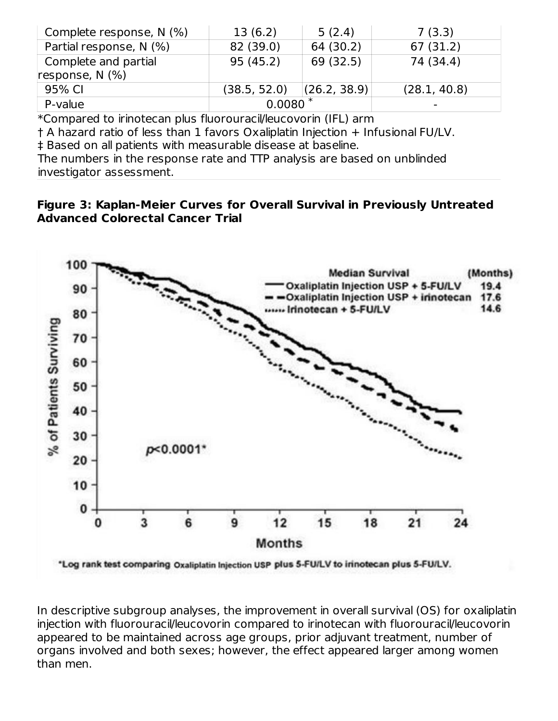| Complete response, N (%) | 13(6.2)      | 5(2.4)       | 7(3.3)                   |
|--------------------------|--------------|--------------|--------------------------|
| Partial response, N (%)  | 82 (39.0)    | 64 (30.2)    | 67(31.2)                 |
| Complete and partial     | 95 (45.2)    | 69 (32.5)    | 74 (34.4)                |
| response, $N$ (%)        |              |              |                          |
| 95% CI                   | (38.5, 52.0) | (26.2, 38.9) | (28.1, 40.8)             |
| P-value                  | $0.0080*$    |              | $\overline{\phantom{0}}$ |

\*Compared to irinotecan plus fluorouracil/leucovorin (IFL) arm

† A hazard ratio of less than 1 favors Oxaliplatin Injection + Infusional FU/LV.

‡ Based on all patients with measurable disease at baseline.

The numbers in the response rate and TTP analysis are based on unblinded investigator assessment.

#### **Figure 3: Kaplan-Meier Curves for Overall Survival in Previously Untreated Advanced Colorectal Cancer Trial**



In descriptive subgroup analyses, the improvement in overall survival (OS) for oxaliplatin injection with fluorouracil/leucovorin compared to irinotecan with fluorouracil/leucovorin appeared to be maintained across age groups, prior adjuvant treatment, number of organs involved and both sexes; however, the effect appeared larger among women than men.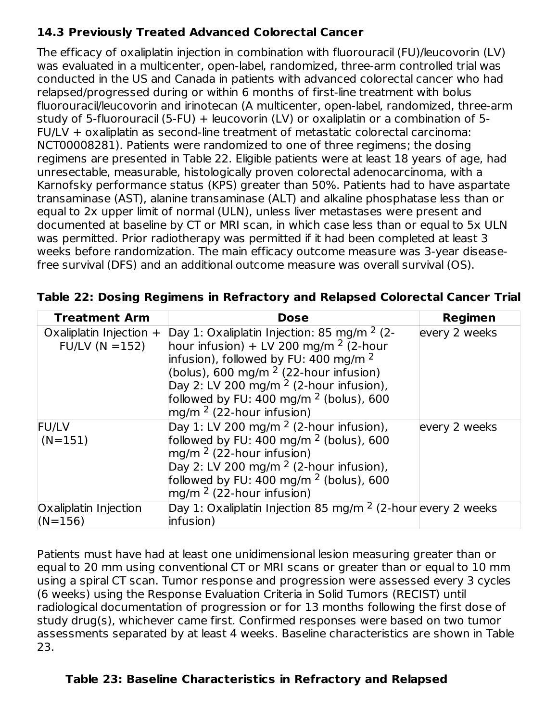## **14.3 Previously Treated Advanced Colorectal Cancer**

The efficacy of oxaliplatin injection in combination with fluorouracil (FU)/leucovorin (LV) was evaluated in a multicenter, open-label, randomized, three-arm controlled trial was conducted in the US and Canada in patients with advanced colorectal cancer who had relapsed/progressed during or within 6 months of first-line treatment with bolus fluorouracil/leucovorin and irinotecan (A multicenter, open-label, randomized, three-arm study of 5-fluorouracil (5-FU) + leucovorin (LV) or oxaliplatin or a combination of 5- FU/LV + oxaliplatin as second-line treatment of metastatic colorectal carcinoma: NCT00008281). Patients were randomized to one of three regimens; the dosing regimens are presented in Table 22. Eligible patients were at least 18 years of age, had unresectable, measurable, histologically proven colorectal adenocarcinoma, with a Karnofsky performance status (KPS) greater than 50%. Patients had to have aspartate transaminase (AST), alanine transaminase (ALT) and alkaline phosphatase less than or equal to 2x upper limit of normal (ULN), unless liver metastases were present and documented at baseline by CT or MRI scan, in which case less than or equal to 5x ULN was permitted. Prior radiotherapy was permitted if it had been completed at least 3 weeks before randomization. The main efficacy outcome measure was 3-year diseasefree survival (DFS) and an additional outcome measure was overall survival (OS).

| <b>Treatment Arm</b>                        | <b>Dose</b>                                                                                                                                                                                                                                                                                                                  | Regimen       |
|---------------------------------------------|------------------------------------------------------------------------------------------------------------------------------------------------------------------------------------------------------------------------------------------------------------------------------------------------------------------------------|---------------|
| Oxaliplatin Injection $+$<br>$FUV(N = 152)$ | Day 1: Oxaliplatin Injection: 85 mg/m $2$ (2-<br>hour infusion) + LV 200 mg/m $2$ (2-hour<br>infusion), followed by FU: 400 mg/m <sup>2</sup><br>(bolus), 600 mg/m $2$ (22-hour infusion)<br>Day 2: LV 200 mg/m <sup>2</sup> (2-hour infusion),<br>followed by FU: 400 mg/m $^2$ (bolus), 600<br>mg/m $2$ (22-hour infusion) | every 2 weeks |
| <b>FU/LV</b><br>$(N=151)$                   | Day 1: LV 200 mg/m $2$ (2-hour infusion),<br>followed by FU: $400 \text{ mg/m}^2$ (bolus), 600<br>$mg/m2$ (22-hour infusion)<br>Day 2: LV 200 mg/m $2$ (2-hour infusion),<br>followed by FU: 400 mg/m $^2$ (bolus), 600<br>$mg/m2$ (22-hour infusion)                                                                        | every 2 weeks |
| Oxaliplatin Injection<br>$(N=156)$          | Day 1: Oxaliplatin Injection 85 mg/m $2$ (2-hour every 2 weeks<br>infusion)                                                                                                                                                                                                                                                  |               |

| Table 22: Dosing Regimens in Refractory and Relapsed Colorectal Cancer Trial |  |  |  |  |  |
|------------------------------------------------------------------------------|--|--|--|--|--|
|------------------------------------------------------------------------------|--|--|--|--|--|

Patients must have had at least one unidimensional lesion measuring greater than or equal to 20 mm using conventional CT or MRI scans or greater than or equal to 10 mm using a spiral CT scan. Tumor response and progression were assessed every 3 cycles (6 weeks) using the Response Evaluation Criteria in Solid Tumors (RECIST) until radiological documentation of progression or for 13 months following the first dose of study drug(s), whichever came first. Confirmed responses were based on two tumor assessments separated by at least 4 weeks. Baseline characteristics are shown in Table 23.

### **Table 23: Baseline Characteristics in Refractory and Relapsed**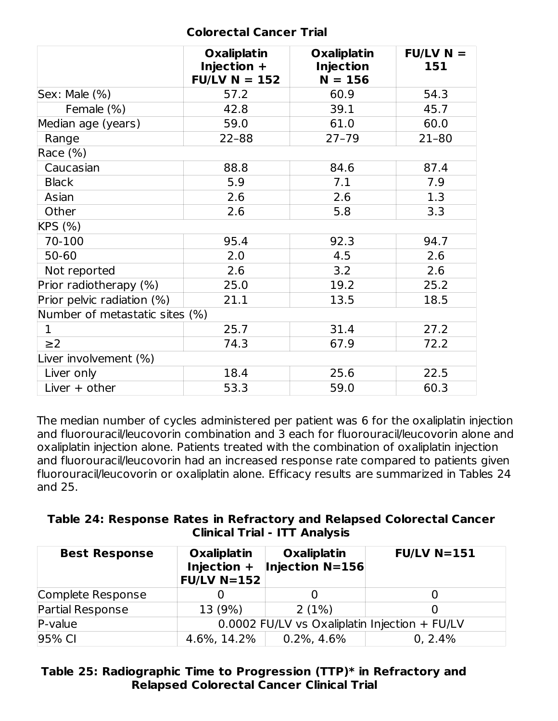#### **Colorectal Cancer Trial**

|                                | <b>Oxaliplatin</b><br>Injection +<br>$FU/LV N = 152$ | <b>Oxaliplatin</b><br><b>Injection</b><br>$N = 156$ | $FUVN =$<br>151 |
|--------------------------------|------------------------------------------------------|-----------------------------------------------------|-----------------|
| Sex: Male (%)                  | 57.2                                                 | 60.9                                                | 54.3            |
| Female (%)                     | 42.8                                                 | 39.1                                                | 45.7            |
| Median age (years)             | 59.0                                                 | 61.0                                                | 60.0            |
| Range                          | $22 - 88$                                            | $27 - 79$                                           | $21 - 80$       |
| Race (%)                       |                                                      |                                                     |                 |
| Caucasian                      | 88.8                                                 | 84.6                                                | 87.4            |
| <b>Black</b>                   | 5.9                                                  | 7.1                                                 | 7.9             |
| Asian                          | 2.6                                                  | 2.6                                                 | 1.3             |
| Other                          | 2.6                                                  | 5.8                                                 | 3.3             |
| KPS (%)                        |                                                      |                                                     |                 |
| 70-100                         | 95.4                                                 | 92.3                                                | 94.7            |
| 50-60                          | 2.0                                                  | 4.5                                                 | 2.6             |
| Not reported                   | 2.6                                                  | 3.2                                                 | 2.6             |
| Prior radiotherapy (%)         | 25.0                                                 | 19.2                                                | 25.2            |
| Prior pelvic radiation (%)     | 21.1                                                 | 13.5                                                | 18.5            |
| Number of metastatic sites (%) |                                                      |                                                     |                 |
| $\mathbf{1}$                   | 25.7                                                 | 31.4                                                | 27.2            |
| $\geq$ 2                       | 74.3                                                 | 67.9                                                | 72.2            |
| Liver involvement (%)          |                                                      |                                                     |                 |
| Liver only                     | 18.4                                                 | 25.6                                                | 22.5            |
| Liver $+$ other                | 53.3                                                 | 59.0                                                | 60.3            |

The median number of cycles administered per patient was 6 for the oxaliplatin injection and fluorouracil/leucovorin combination and 3 each for fluorouracil/leucovorin alone and oxaliplatin injection alone. Patients treated with the combination of oxaliplatin injection and fluorouracil/leucovorin had an increased response rate compared to patients given fluorouracil/leucovorin or oxaliplatin alone. Efficacy results are summarized in Tables 24 and 25.

| Table 24: Response Rates in Refractory and Relapsed Colorectal Cancer |                                      |  |  |
|-----------------------------------------------------------------------|--------------------------------------|--|--|
|                                                                       | <b>Clinical Trial - ITT Analysis</b> |  |  |

| <b>Best Response</b> | <b>Oxaliplatin</b><br>Injection +<br>$FU/LV$ N=152 | <b>Oxaliplatin</b><br>Injection N=156         | $FU/LV$ N=151 |  |  |
|----------------------|----------------------------------------------------|-----------------------------------------------|---------------|--|--|
| Complete Response    |                                                    |                                               |               |  |  |
| Partial Response     | 13 (9%)                                            | 2(1%)                                         |               |  |  |
| P-value              |                                                    | 0.0002 FU/LV vs Oxaliplatin Injection + FU/LV |               |  |  |
| 95% CI               | 4.6%, 14.2%                                        | $0.2\%$ , 4.6%                                | 0, 2.4%       |  |  |

### **Table 25: Radiographic Time to Progression (TTP)\* in Refractory and Relapsed Colorectal Cancer Clinical Trial**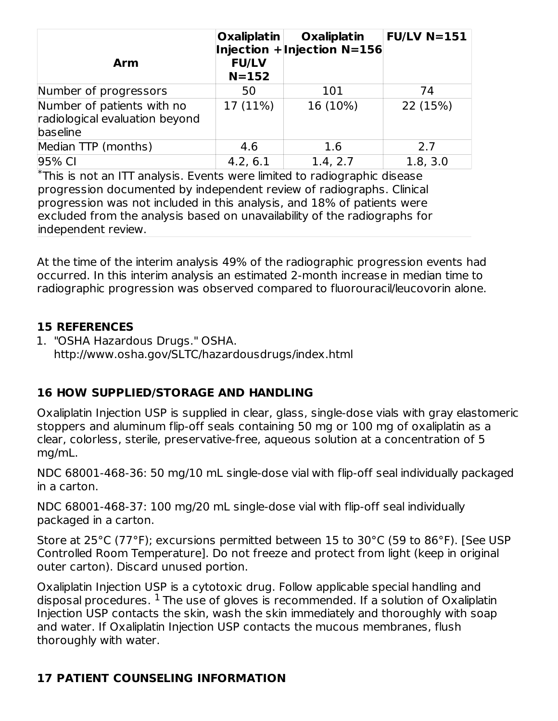| <b>Arm</b>                                                               | <b>Oxaliplatin</b><br><b>FU/LV</b><br>$N = 152$ | Oxaliplatin<br>Injection $+$ Injection N=156 | $FU/LV$ N=151 |
|--------------------------------------------------------------------------|-------------------------------------------------|----------------------------------------------|---------------|
| Number of progressors                                                    | 50                                              | 101                                          | 74            |
| Number of patients with no<br>radiological evaluation beyond<br>baseline | 17 (11%)                                        | 16 (10%)                                     | 22 (15%)      |
| Median TTP (months)                                                      | 4.6                                             | 1.6                                          | 2.7           |
| 95% CI                                                                   | 4.2, 6.1                                        | 1.4, 2.7                                     | 1.8, 3.0      |

This is not an ITT analysis. Events were limited to radiographic disease \* progression documented by independent review of radiographs. Clinical progression was not included in this analysis, and 18% of patients were excluded from the analysis based on unavailability of the radiographs for independent review.

At the time of the interim analysis 49% of the radiographic progression events had occurred. In this interim analysis an estimated 2-month increase in median time to radiographic progression was observed compared to fluorouracil/leucovorin alone.

### **15 REFERENCES**

1. "OSHA Hazardous Drugs." OSHA. http://www.osha.gov/SLTC/hazardousdrugs/index.html

## **16 HOW SUPPLIED/STORAGE AND HANDLING**

Oxaliplatin Injection USP is supplied in clear, glass, single-dose vials with gray elastomeric stoppers and aluminum flip-off seals containing 50 mg or 100 mg of oxaliplatin as a clear, colorless, sterile, preservative-free, aqueous solution at a concentration of 5 mg/mL.

NDC 68001-468-36: 50 mg/10 mL single-dose vial with flip-off seal individually packaged in a carton.

NDC 68001-468-37: 100 mg/20 mL single-dose vial with flip-off seal individually packaged in a carton.

Store at 25°C (77°F); excursions permitted between 15 to 30°C (59 to 86°F). [See USP Controlled Room Temperature]. Do not freeze and protect from light (keep in original outer carton). Discard unused portion.

Oxaliplatin Injection USP is a cytotoxic drug. Follow applicable special handling and disposal procedures.  $^1$  The use of gloves is recommended. If a solution of Oxaliplatin Injection USP contacts the skin, wash the skin immediately and thoroughly with soap and water. If Oxaliplatin Injection USP contacts the mucous membranes, flush thoroughly with water.

### **17 PATIENT COUNSELING INFORMATION**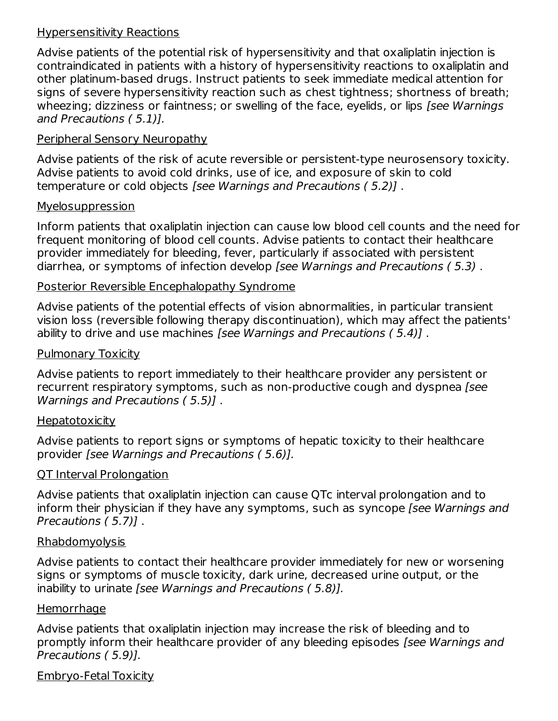#### Hypersensitivity Reactions

Advise patients of the potential risk of hypersensitivity and that oxaliplatin injection is contraindicated in patients with a history of hypersensitivity reactions to oxaliplatin and other platinum-based drugs. Instruct patients to seek immediate medical attention for signs of severe hypersensitivity reaction such as chest tightness; shortness of breath; wheezing; dizziness or faintness; or swelling of the face, eyelids, or lips [see Warnings] and Precautions ( 5.1)].

### Peripheral Sensory Neuropathy

Advise patients of the risk of acute reversible or persistent-type neurosensory toxicity. Advise patients to avoid cold drinks, use of ice, and exposure of skin to cold temperature or cold objects [see Warnings and Precautions ( 5.2)] .

#### Myelosuppression

Inform patients that oxaliplatin injection can cause low blood cell counts and the need for frequent monitoring of blood cell counts. Advise patients to contact their healthcare provider immediately for bleeding, fever, particularly if associated with persistent diarrhea, or symptoms of infection develop [see Warnings and Precautions (5.3).

#### Posterior Reversible Encephalopathy Syndrome

Advise patients of the potential effects of vision abnormalities, in particular transient vision loss (reversible following therapy discontinuation), which may affect the patients' ability to drive and use machines [see Warnings and Precautions (5.4)].

#### Pulmonary Toxicity

Advise patients to report immediately to their healthcare provider any persistent or recurrent respiratory symptoms, such as non-productive cough and dyspnea [see Warnings and Precautions ( 5.5)] .

#### Hepatotoxicity

Advise patients to report signs or symptoms of hepatic toxicity to their healthcare provider [see Warnings and Precautions ( 5.6)].

### QT Interval Prolongation

Advise patients that oxaliplatin injection can cause QTc interval prolongation and to inform their physician if they have any symptoms, such as syncope (see Warnings and Precautions ( 5.7)] .

#### Rhabdomyolysis

Advise patients to contact their healthcare provider immediately for new or worsening signs or symptoms of muscle toxicity, dark urine, decreased urine output, or the inability to urinate [see Warnings and Precautions ( 5.8)].

#### **Hemorrhage**

Advise patients that oxaliplatin injection may increase the risk of bleeding and to promptly inform their healthcare provider of any bleeding episodes [see Warnings and Precautions ( 5.9)].

### Embryo-Fetal Toxicity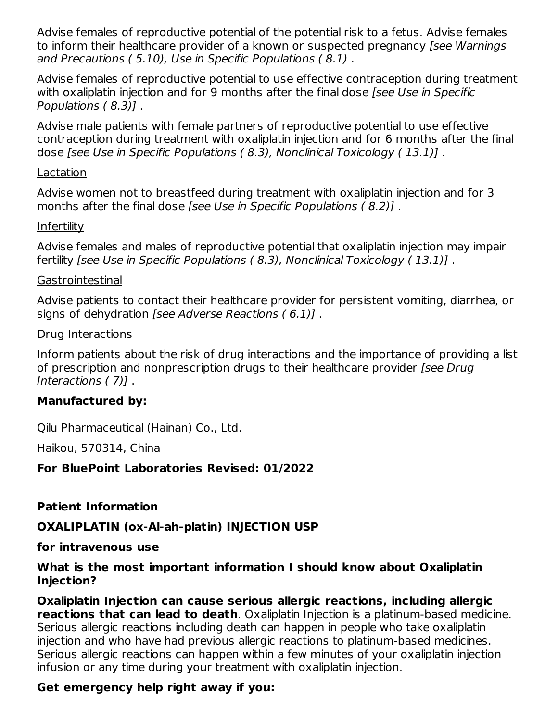Advise females of reproductive potential of the potential risk to a fetus. Advise females to inform their healthcare provider of a known or suspected pregnancy [see Warnings and Precautions ( 5.10), Use in Specific Populations ( 8.1) .

Advise females of reproductive potential to use effective contraception during treatment with oxaliplatin injection and for 9 months after the final dose [see Use in Specific Populations ( 8.3)] .

Advise male patients with female partners of reproductive potential to use effective contraception during treatment with oxaliplatin injection and for 6 months after the final dose [see Use in Specific Populations ( 8.3), Nonclinical Toxicology ( 13.1)] .

#### Lactation

Advise women not to breastfeed during treatment with oxaliplatin injection and for 3 months after the final dose [see Use in Specific Populations ( 8.2)] .

### **Infertility**

Advise females and males of reproductive potential that oxaliplatin injection may impair fertility [see Use in Specific Populations ( 8.3), Nonclinical Toxicology ( 13.1)] .

#### **Gastrointestinal**

Advise patients to contact their healthcare provider for persistent vomiting, diarrhea, or signs of dehydration [see Adverse Reactions ( 6.1)] .

#### Drug Interactions

Inform patients about the risk of drug interactions and the importance of providing a list of prescription and nonprescription drugs to their healthcare provider [see Drug] Interactions ( 7)] .

### **Manufactured by:**

Qilu Pharmaceutical (Hainan) Co., Ltd.

Haikou, 570314, China

### **For BluePoint Laboratories Revised: 01/2022**

### **Patient Information**

### **OXALIPLATIN (ox-Al-ah-platin) INJECTION USP**

#### **for intravenous use**

#### **What is the most important information I should know about Oxaliplatin Injection?**

**Oxaliplatin Injection can cause serious allergic reactions, including allergic reactions that can lead to death**. Oxaliplatin Injection is a platinum-based medicine. Serious allergic reactions including death can happen in people who take oxaliplatin injection and who have had previous allergic reactions to platinum-based medicines. Serious allergic reactions can happen within a few minutes of your oxaliplatin injection infusion or any time during your treatment with oxaliplatin injection.

### **Get emergency help right away if you:**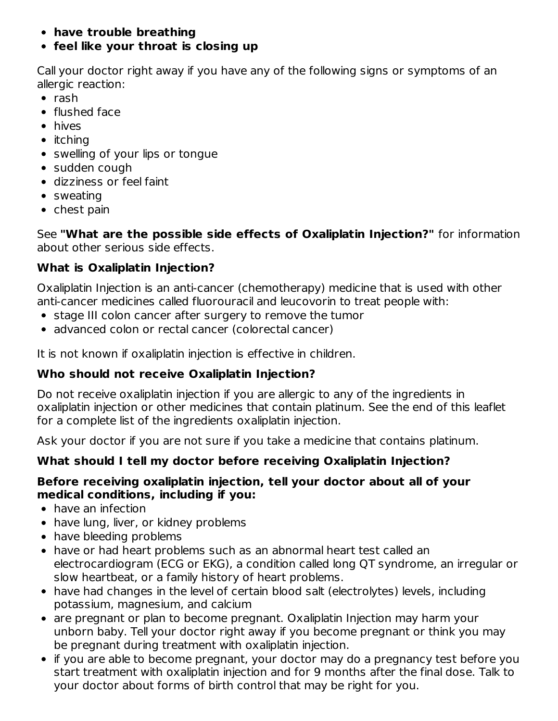- **have trouble breathing**
- **feel like your throat is closing up**

Call your doctor right away if you have any of the following signs or symptoms of an allergic reaction:

- $\bullet$  rash
- flushed face
- hives
- $\bullet$  itching
- swelling of your lips or tongue
- sudden cough
- dizziness or feel faint
- sweating
- chest pain

See **"What are the possible side effects of Oxaliplatin Injection?"** for information about other serious side effects.

## **What is Oxaliplatin Injection?**

Oxaliplatin Injection is an anti-cancer (chemotherapy) medicine that is used with other anti-cancer medicines called fluorouracil and leucovorin to treat people with:

- stage III colon cancer after surgery to remove the tumor
- advanced colon or rectal cancer (colorectal cancer)

It is not known if oxaliplatin injection is effective in children.

## **Who should not receive Oxaliplatin Injection?**

Do not receive oxaliplatin injection if you are allergic to any of the ingredients in oxaliplatin injection or other medicines that contain platinum. See the end of this leaflet for a complete list of the ingredients oxaliplatin injection.

Ask your doctor if you are not sure if you take a medicine that contains platinum.

## **What should I tell my doctor before receiving Oxaliplatin Injection?**

### **Before receiving oxaliplatin injection, tell your doctor about all of your medical conditions, including if you:**

- have an infection
- have lung, liver, or kidney problems
- have bleeding problems
- have or had heart problems such as an abnormal heart test called an electrocardiogram (ECG or EKG), a condition called long QT syndrome, an irregular or slow heartbeat, or a family history of heart problems.
- have had changes in the level of certain blood salt (electrolytes) levels, including potassium, magnesium, and calcium
- are pregnant or plan to become pregnant. Oxaliplatin Injection may harm your unborn baby. Tell your doctor right away if you become pregnant or think you may be pregnant during treatment with oxaliplatin injection.
- if you are able to become pregnant, your doctor may do a pregnancy test before you start treatment with oxaliplatin injection and for 9 months after the final dose. Talk to your doctor about forms of birth control that may be right for you.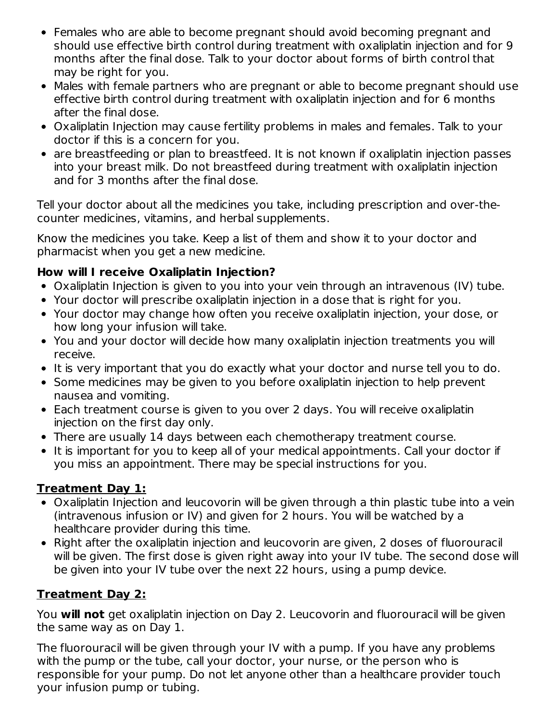- Females who are able to become pregnant should avoid becoming pregnant and should use effective birth control during treatment with oxaliplatin injection and for 9 months after the final dose. Talk to your doctor about forms of birth control that may be right for you.
- Males with female partners who are pregnant or able to become pregnant should use effective birth control during treatment with oxaliplatin injection and for 6 months after the final dose.
- Oxaliplatin Injection may cause fertility problems in males and females. Talk to your doctor if this is a concern for you.
- are breastfeeding or plan to breastfeed. It is not known if oxaliplatin injection passes into your breast milk. Do not breastfeed during treatment with oxaliplatin injection and for 3 months after the final dose.

Tell your doctor about all the medicines you take, including prescription and over-thecounter medicines, vitamins, and herbal supplements.

Know the medicines you take. Keep a list of them and show it to your doctor and pharmacist when you get a new medicine.

## **How will I receive Oxaliplatin Injection?**

- Oxaliplatin Injection is given to you into your vein through an intravenous (IV) tube.
- Your doctor will prescribe oxaliplatin injection in a dose that is right for you.
- Your doctor may change how often you receive oxaliplatin injection, your dose, or how long your infusion will take.
- You and your doctor will decide how many oxaliplatin injection treatments you will receive.
- It is very important that you do exactly what your doctor and nurse tell you to do.
- Some medicines may be given to you before oxaliplatin injection to help prevent nausea and vomiting.
- Each treatment course is given to you over 2 days. You will receive oxaliplatin injection on the first day only.
- There are usually 14 days between each chemotherapy treatment course.
- It is important for you to keep all of your medical appointments. Call your doctor if you miss an appointment. There may be special instructions for you.

### **Treatment Day 1:**

- Oxaliplatin Injection and leucovorin will be given through a thin plastic tube into a vein (intravenous infusion or IV) and given for 2 hours. You will be watched by a healthcare provider during this time.
- Right after the oxaliplatin injection and leucovorin are given, 2 doses of fluorouracil will be given. The first dose is given right away into your IV tube. The second dose will be given into your IV tube over the next 22 hours, using a pump device.

## **Treatment Day 2:**

You **will not** get oxaliplatin injection on Day 2. Leucovorin and fluorouracil will be given the same way as on Day 1.

The fluorouracil will be given through your IV with a pump. If you have any problems with the pump or the tube, call your doctor, your nurse, or the person who is responsible for your pump. Do not let anyone other than a healthcare provider touch your infusion pump or tubing.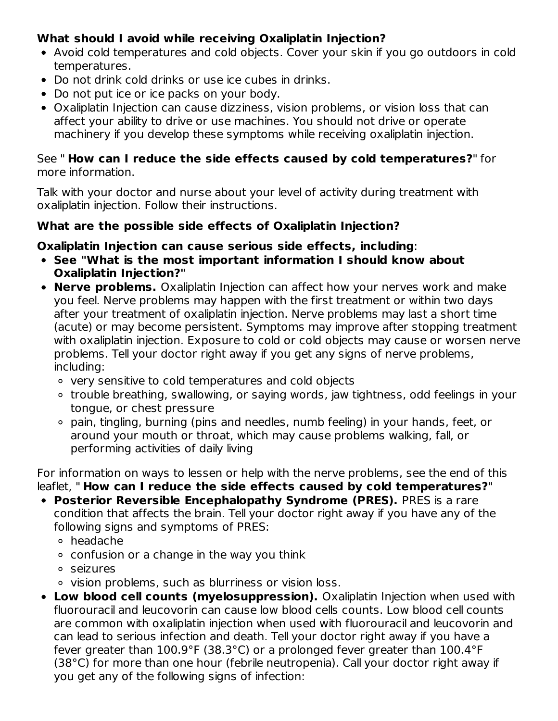## **What should I avoid while receiving Oxaliplatin Injection?**

- Avoid cold temperatures and cold objects. Cover your skin if you go outdoors in cold temperatures.
- Do not drink cold drinks or use ice cubes in drinks.
- Do not put ice or ice packs on your body.
- Oxaliplatin Injection can cause dizziness, vision problems, or vision loss that can affect your ability to drive or use machines. You should not drive or operate machinery if you develop these symptoms while receiving oxaliplatin injection.

#### See " **How can I reduce the side effects caused by cold temperatures?**" for more information.

Talk with your doctor and nurse about your level of activity during treatment with oxaliplatin injection. Follow their instructions.

### **What are the possible side effects of Oxaliplatin Injection?**

### **Oxaliplatin Injection can cause serious side effects, including**:

- **See "What is the most important information I should know about Oxaliplatin Injection?"**
- **Nerve problems.** Oxaliplatin Injection can affect how your nerves work and make you feel. Nerve problems may happen with the first treatment or within two days after your treatment of oxaliplatin injection. Nerve problems may last a short time (acute) or may become persistent. Symptoms may improve after stopping treatment with oxaliplatin injection. Exposure to cold or cold objects may cause or worsen nerve problems. Tell your doctor right away if you get any signs of nerve problems, including:
	- very sensitive to cold temperatures and cold objects
	- trouble breathing, swallowing, or saying words, jaw tightness, odd feelings in your tongue, or chest pressure
	- pain, tingling, burning (pins and needles, numb feeling) in your hands, feet, or around your mouth or throat, which may cause problems walking, fall, or performing activities of daily living

For information on ways to lessen or help with the nerve problems, see the end of this leaflet, " **How can I reduce the side effects caused by cold temperatures?**"

- **Posterior Reversible Encephalopathy Syndrome (PRES).** PRES is a rare condition that affects the brain. Tell your doctor right away if you have any of the following signs and symptoms of PRES:
	- headache
	- $\circ$  confusion or a change in the way you think
	- seizures
	- vision problems, such as blurriness or vision loss.
- **Low blood cell counts (myelosuppression).** Oxaliplatin Injection when used with fluorouracil and leucovorin can cause low blood cells counts. Low blood cell counts are common with oxaliplatin injection when used with fluorouracil and leucovorin and can lead to serious infection and death. Tell your doctor right away if you have a fever greater than 100.9°F (38.3°C) or a prolonged fever greater than 100.4°F (38°C) for more than one hour (febrile neutropenia). Call your doctor right away if you get any of the following signs of infection: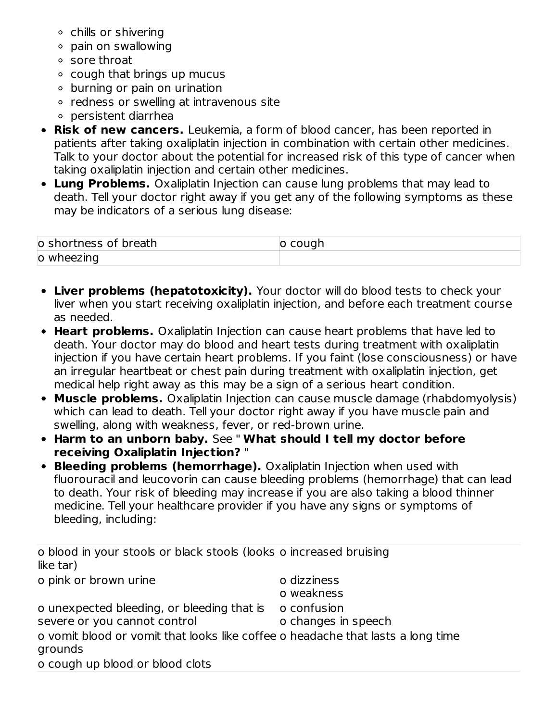- chills or shivering
- pain on swallowing
- sore throat
- $\circ$  cough that brings up mucus
- burning or pain on urination
- redness or swelling at intravenous site
- persistent diarrhea
- **Risk of new cancers.** Leukemia, a form of blood cancer, has been reported in patients after taking oxaliplatin injection in combination with certain other medicines. Talk to your doctor about the potential for increased risk of this type of cancer when taking oxaliplatin injection and certain other medicines.
- **Lung Problems.** Oxaliplatin Injection can cause lung problems that may lead to death. Tell your doctor right away if you get any of the following symptoms as these may be indicators of a serious lung disease:

| o shortness of breath | ıuar |
|-----------------------|------|
| o wheezing            |      |

- **Liver problems (hepatotoxicity).** Your doctor will do blood tests to check your liver when you start receiving oxaliplatin injection, and before each treatment course as needed.
- **Heart problems.** Oxaliplatin Injection can cause heart problems that have led to death. Your doctor may do blood and heart tests during treatment with oxaliplatin injection if you have certain heart problems. If you faint (lose consciousness) or have an irregular heartbeat or chest pain during treatment with oxaliplatin injection, get medical help right away as this may be a sign of a serious heart condition.
- **Muscle problems.** Oxaliplatin Injection can cause muscle damage (rhabdomyolysis) which can lead to death. Tell your doctor right away if you have muscle pain and swelling, along with weakness, fever, or red-brown urine.
- **Harm to an unborn baby.** See " **What should I tell my doctor before receiving Oxaliplatin Injection?** "
- **Bleeding problems (hemorrhage).** Oxaliplatin Injection when used with fluorouracil and leucovorin can cause bleeding problems (hemorrhage) that can lead to death. Your risk of bleeding may increase if you are also taking a blood thinner medicine. Tell your healthcare provider if you have any signs or symptoms of bleeding, including:

| o blood in your stools or black stools (looks o increased bruising<br>like tar) |                     |
|---------------------------------------------------------------------------------|---------------------|
| o pink or brown urine                                                           | o dizziness         |
|                                                                                 | o weakness          |
| o unexpected bleeding, or bleeding that is                                      | o confusion         |
| severe or you cannot control                                                    | o changes in speech |
| o vomit blood or vomit that looks like coffee o headache that lasts a long time |                     |
| grounds                                                                         |                     |
| o cough up blood or blood clots                                                 |                     |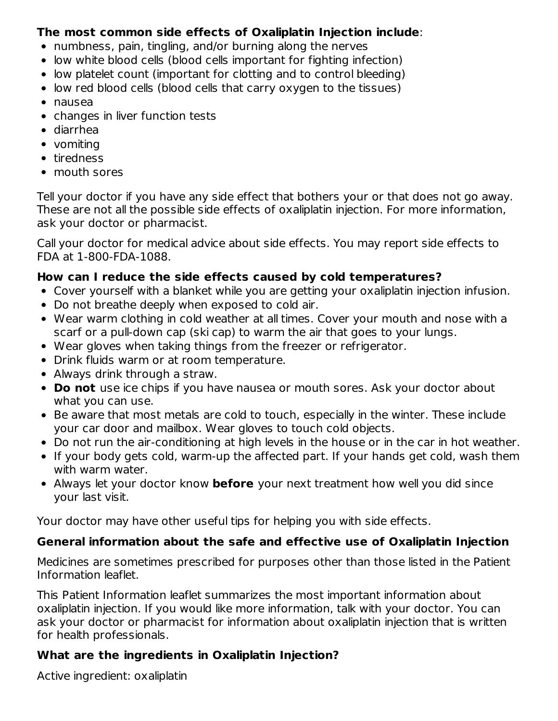### **The most common side effects of Oxaliplatin Injection include**:

- numbness, pain, tingling, and/or burning along the nerves
- low white blood cells (blood cells important for fighting infection)
- low platelet count (important for clotting and to control bleeding)
- low red blood cells (blood cells that carry oxygen to the tissues)
- nausea
- changes in liver function tests
- diarrhea
- vomiting
- tiredness
- mouth sores

Tell your doctor if you have any side effect that bothers your or that does not go away. These are not all the possible side effects of oxaliplatin injection. For more information, ask your doctor or pharmacist.

Call your doctor for medical advice about side effects. You may report side effects to FDA at 1-800-FDA-1088.

### **How can I reduce the side effects caused by cold temperatures?**

- Cover yourself with a blanket while you are getting your oxaliplatin injection infusion.
- Do not breathe deeply when exposed to cold air.
- Wear warm clothing in cold weather at all times. Cover your mouth and nose with a scarf or a pull-down cap (ski cap) to warm the air that goes to your lungs.
- Wear gloves when taking things from the freezer or refrigerator.
- Drink fluids warm or at room temperature.
- Always drink through a straw.
- **Do not** use ice chips if you have nausea or mouth sores. Ask your doctor about what you can use.
- Be aware that most metals are cold to touch, especially in the winter. These include your car door and mailbox. Wear gloves to touch cold objects.
- Do not run the air-conditioning at high levels in the house or in the car in hot weather.
- If your body gets cold, warm-up the affected part. If your hands get cold, wash them with warm water.
- Always let your doctor know **before** your next treatment how well you did since your last visit.

Your doctor may have other useful tips for helping you with side effects.

### **General information about the safe and effective use of Oxaliplatin Injection**

Medicines are sometimes prescribed for purposes other than those listed in the Patient Information leaflet.

This Patient Information leaflet summarizes the most important information about oxaliplatin injection. If you would like more information, talk with your doctor. You can ask your doctor or pharmacist for information about oxaliplatin injection that is written for health professionals.

### **What are the ingredients in Oxaliplatin Injection?**

Active ingredient: oxaliplatin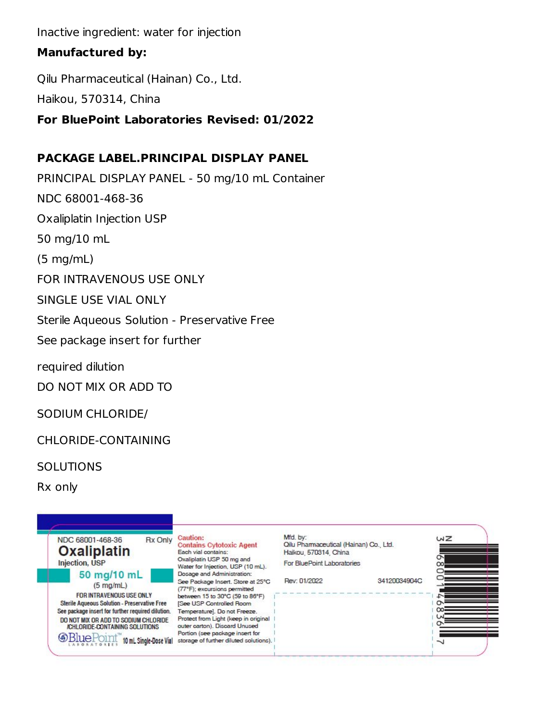Inactive ingredient: water for injection

### **Manufactured by:**

Qilu Pharmaceutical (Hainan) Co., Ltd. Haikou, 570314, China

### **For BluePoint Laboratories Revised: 01/2022**

## **PACKAGE LABEL.PRINCIPAL DISPLAY PANEL**

PRINCIPAL DISPLAY PANEL - 50 mg/10 mL Container NDC 68001-468-36 Oxaliplatin Injection USP 50 mg/10 mL (5 mg/mL) FOR INTRAVENOUS USE ONLY SINGLE USE VIAL ONLY Sterile Aqueous Solution - Preservative Free See package insert for further

required dilution

DO NOT MIX OR ADD TO

SODIUM CHLORIDE/

CHLORIDE-CONTAINING

**SOLUTIONS** 

Rx only

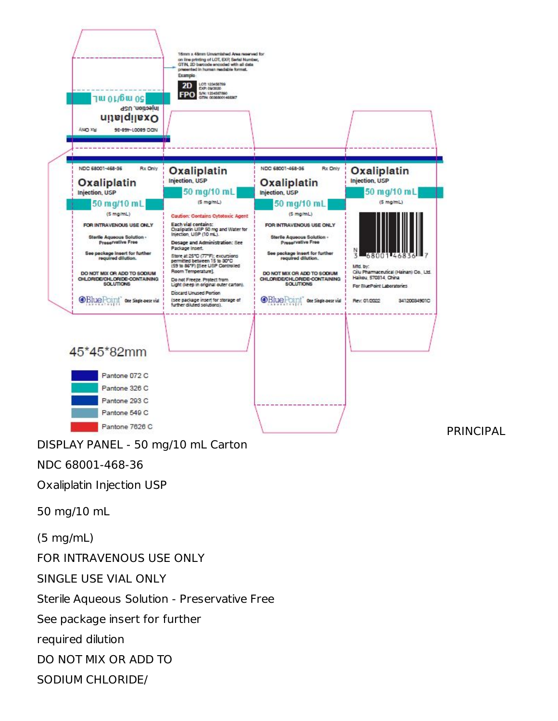

SODIUM CHLORIDE/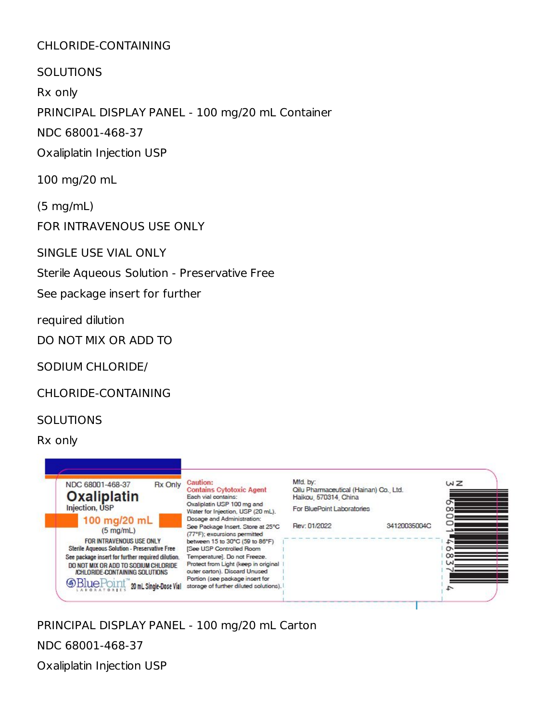### CHLORIDE-CONTAINING

SOLUTIONS

Rx only

PRINCIPAL DISPLAY PANEL - 100 mg/20 mL Container

NDC 68001-468-37

Oxaliplatin Injection USP

100 mg/20 mL

(5 mg/mL)

FOR INTRAVENOUS USE ONLY

SINGLE USE VIAL ONLY

Sterile Aqueous Solution - Preservative Free

See package insert for further

required dilution

DO NOT MIX OR ADD TO

SODIUM CHLORIDE/

CHLORIDE-CONTAINING

#### **SOLUTIONS**

Rx only



PRINCIPAL DISPLAY PANEL - 100 mg/20 mL Carton

NDC 68001-468-37

Oxaliplatin Injection USP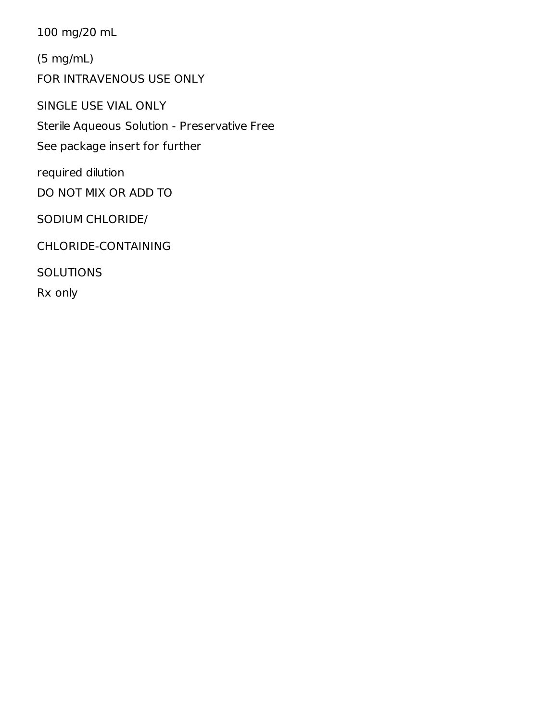100 mg/20 mL

(5 mg/mL)

FOR INTRAVENOUS USE ONLY

SINGLE USE VIAL ONLY Sterile Aqueous Solution - Preservative Free See package insert for further

required dilution DO NOT MIX OR ADD TO

SODIUM CHLORIDE/

CHLORIDE-CONTAINING

**SOLUTIONS** 

Rx only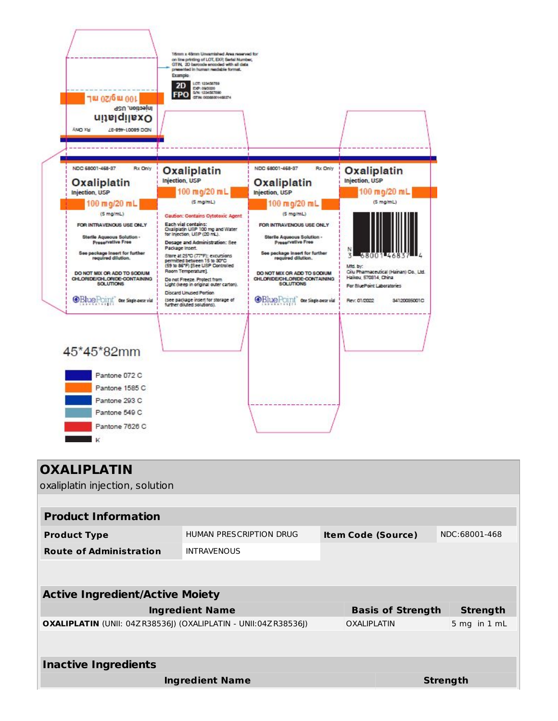

| <b>OXALIPLATIN</b>                                                    |                                |                           |                          |                 |
|-----------------------------------------------------------------------|--------------------------------|---------------------------|--------------------------|-----------------|
| oxaliplatin injection, solution                                       |                                |                           |                          |                 |
|                                                                       |                                |                           |                          |                 |
| <b>Product Information</b>                                            |                                |                           |                          |                 |
| <b>Product Type</b>                                                   | <b>HUMAN PRESCRIPTION DRUG</b> | <b>Item Code (Source)</b> |                          | NDC:68001-468   |
| <b>Route of Administration</b>                                        | <b>INTRAVENOUS</b>             |                           |                          |                 |
|                                                                       |                                |                           |                          |                 |
| <b>Active Ingredient/Active Moiety</b>                                |                                |                           |                          |                 |
|                                                                       |                                |                           |                          |                 |
|                                                                       | <b>Ingredient Name</b>         |                           | <b>Basis of Strength</b> | <b>Strength</b> |
| <b>OXALIPLATIN</b> (UNII: 04ZR38536J) (OXALIPLATIN - UNII:04ZR38536J) |                                | <b>OXALIPLATIN</b>        |                          | 5 mg in 1 mL    |
|                                                                       |                                |                           |                          |                 |
| <b>Inactive Ingredients</b>                                           |                                |                           |                          |                 |
|                                                                       |                                |                           |                          |                 |
|                                                                       | <b>Ingredient Name</b>         |                           |                          | Strength        |
|                                                                       |                                |                           |                          |                 |